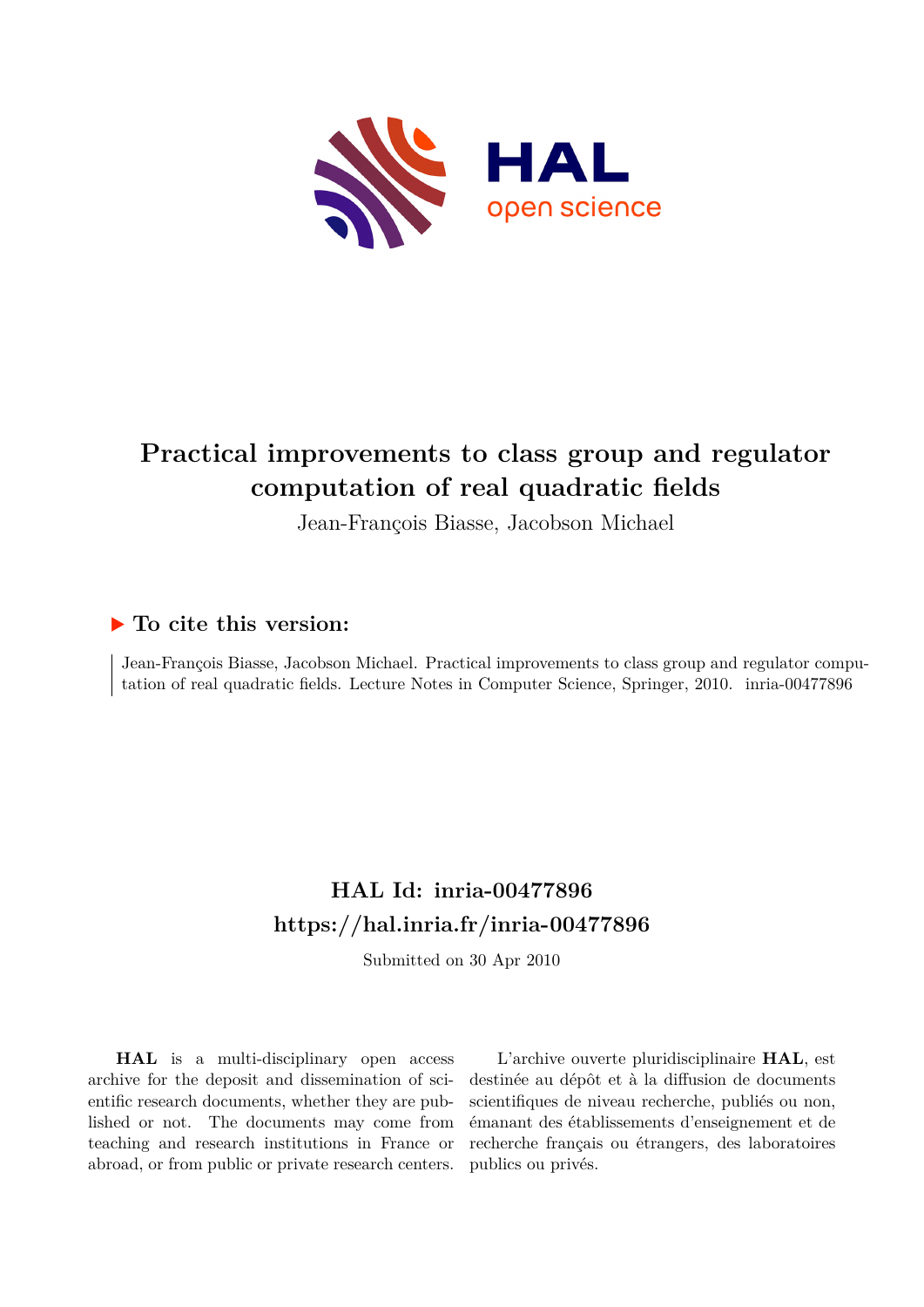

# **Practical improvements to class group and regulator computation of real quadratic fields**

Jean-François Biasse, Jacobson Michael

## **To cite this version:**

Jean-François Biasse, Jacobson Michael. Practical improvements to class group and regulator computation of real quadratic fields. Lecture Notes in Computer Science, Springer, 2010. inria-00477896

## **HAL Id: inria-00477896 <https://hal.inria.fr/inria-00477896>**

Submitted on 30 Apr 2010

**HAL** is a multi-disciplinary open access archive for the deposit and dissemination of scientific research documents, whether they are published or not. The documents may come from teaching and research institutions in France or abroad, or from public or private research centers.

L'archive ouverte pluridisciplinaire **HAL**, est destinée au dépôt et à la diffusion de documents scientifiques de niveau recherche, publiés ou non, émanant des établissements d'enseignement et de recherche français ou étrangers, des laboratoires publics ou privés.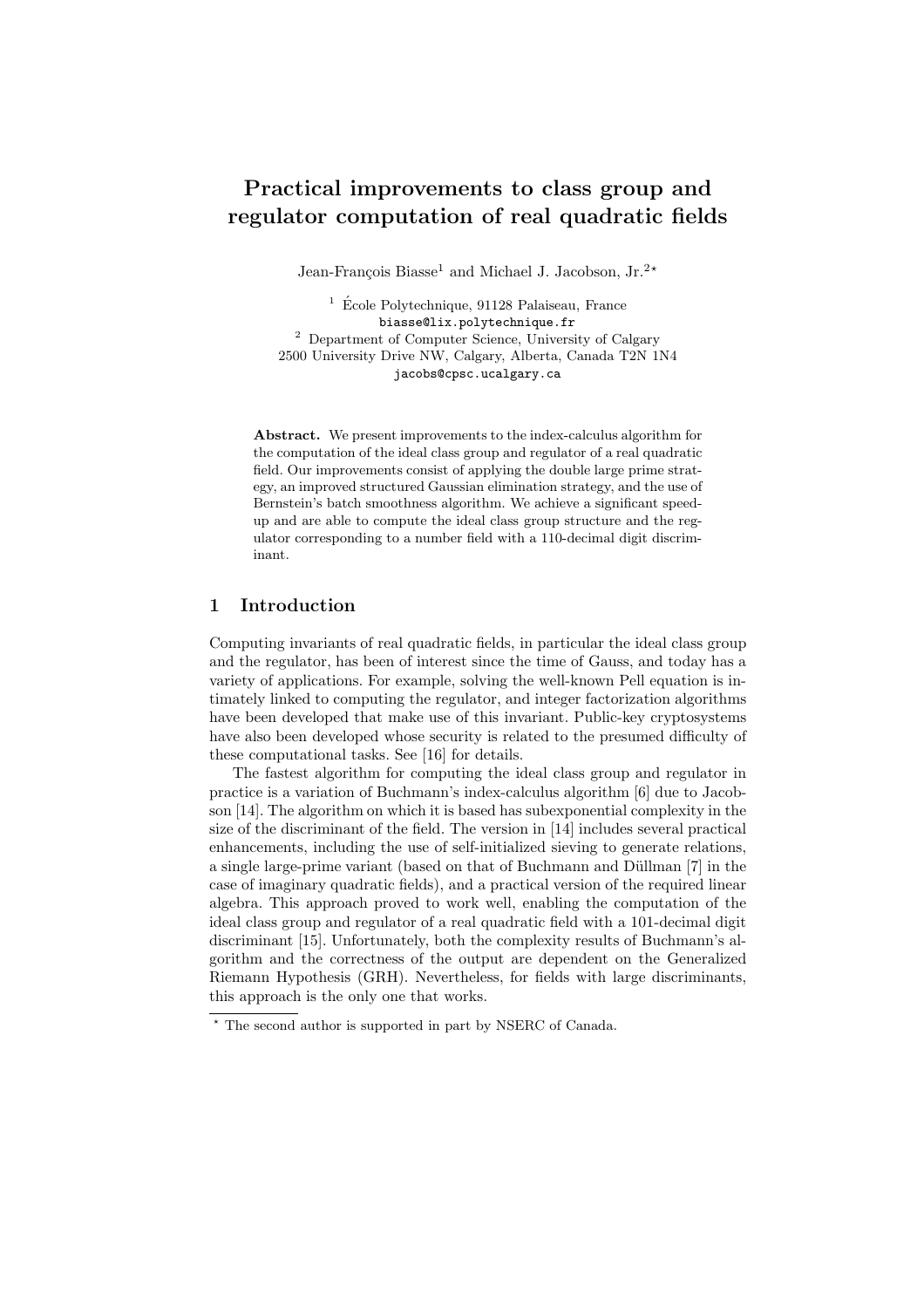## Practical improvements to class group and regulator computation of real quadratic fields

Jean-François Biasse<sup>1</sup> and Michael J. Jacobson, Jr.<sup>2</sup><sup>\*</sup>

 $1\,$  École Polytechnique, 91128 Palaiseau, France biasse@lix.polytechnique.fr <sup>2</sup> Department of Computer Science, University of Calgary 2500 University Drive NW, Calgary, Alberta, Canada T2N 1N4 jacobs@cpsc.ucalgary.ca

Abstract. We present improvements to the index-calculus algorithm for the computation of the ideal class group and regulator of a real quadratic field. Our improvements consist of applying the double large prime strategy, an improved structured Gaussian elimination strategy, and the use of Bernstein's batch smoothness algorithm. We achieve a significant speedup and are able to compute the ideal class group structure and the regulator corresponding to a number field with a 110-decimal digit discriminant.

#### 1 Introduction

Computing invariants of real quadratic fields, in particular the ideal class group and the regulator, has been of interest since the time of Gauss, and today has a variety of applications. For example, solving the well-known Pell equation is intimately linked to computing the regulator, and integer factorization algorithms have been developed that make use of this invariant. Public-key cryptosystems have also been developed whose security is related to the presumed difficulty of these computational tasks. See [16] for details.

The fastest algorithm for computing the ideal class group and regulator in practice is a variation of Buchmann's index-calculus algorithm [6] due to Jacobson [14]. The algorithm on which it is based has subexponential complexity in the size of the discriminant of the field. The version in [14] includes several practical enhancements, including the use of self-initialized sieving to generate relations, a single large-prime variant (based on that of Buchmann and Düllman [7] in the case of imaginary quadratic fields), and a practical version of the required linear algebra. This approach proved to work well, enabling the computation of the ideal class group and regulator of a real quadratic field with a 101-decimal digit discriminant [15]. Unfortunately, both the complexity results of Buchmann's algorithm and the correctness of the output are dependent on the Generalized Riemann Hypothesis (GRH). Nevertheless, for fields with large discriminants, this approach is the only one that works.

<sup>⋆</sup> The second author is supported in part by NSERC of Canada.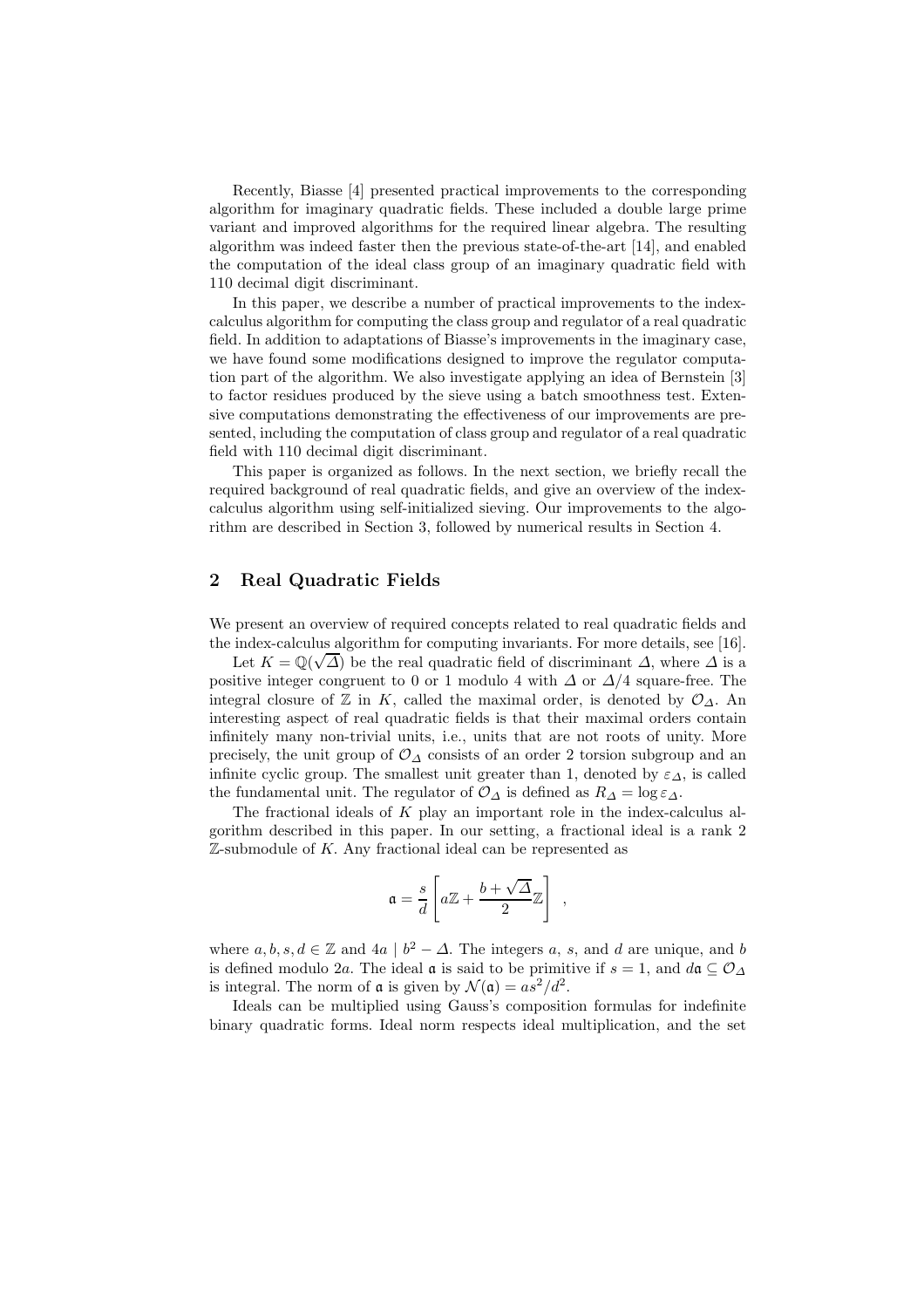Recently, Biasse [4] presented practical improvements to the corresponding algorithm for imaginary quadratic fields. These included a double large prime variant and improved algorithms for the required linear algebra. The resulting algorithm was indeed faster then the previous state-of-the-art [14], and enabled the computation of the ideal class group of an imaginary quadratic field with 110 decimal digit discriminant.

In this paper, we describe a number of practical improvements to the indexcalculus algorithm for computing the class group and regulator of a real quadratic field. In addition to adaptations of Biasse's improvements in the imaginary case, we have found some modifications designed to improve the regulator computation part of the algorithm. We also investigate applying an idea of Bernstein [3] to factor residues produced by the sieve using a batch smoothness test. Extensive computations demonstrating the effectiveness of our improvements are presented, including the computation of class group and regulator of a real quadratic field with 110 decimal digit discriminant.

This paper is organized as follows. In the next section, we briefly recall the required background of real quadratic fields, and give an overview of the indexcalculus algorithm using self-initialized sieving. Our improvements to the algorithm are described in Section 3, followed by numerical results in Section 4.

#### 2 Real Quadratic Fields

We present an overview of required concepts related to real quadratic fields and the index-calculus algorithm for computing invariants. For more details, see [16].

Let  $K = \mathbb{Q}(\sqrt{\Delta})$  be the real quadratic field of discriminant  $\Delta$ , where  $\Delta$  is a positive integer congruent to 0 or 1 modulo 4 with  $\Delta$  or  $\Delta/4$  square-free. The integral closure of  $\mathbb Z$  in K, called the maximal order, is denoted by  $\mathcal O_{\Delta}$ . An interesting aspect of real quadratic fields is that their maximal orders contain infinitely many non-trivial units, i.e., units that are not roots of unity. More precisely, the unit group of  $\mathcal{O}_{\Delta}$  consists of an order 2 torsion subgroup and an infinite cyclic group. The smallest unit greater than 1, denoted by  $\varepsilon_{\Delta}$ , is called the fundamental unit. The regulator of  $\mathcal{O}_{\Delta}$  is defined as  $R_{\Delta} = \log \varepsilon_{\Delta}$ .

The fractional ideals of  $K$  play an important role in the index-calculus algorithm described in this paper. In our setting, a fractional ideal is a rank 2  $\mathbb{Z}$ -submodule of K. Any fractional ideal can be represented as

$$
\mathfrak{a} = \frac{s}{d} \left[ a\mathbb{Z} + \frac{b+\sqrt{\Delta}}{2} \mathbb{Z} \right] ,
$$

where  $a, b, s, d \in \mathbb{Z}$  and  $4a \mid b^2 - \Delta$ . The integers a, s, and d are unique, and b is defined modulo 2a. The ideal  $\mathfrak a$  is said to be primitive if  $s = 1$ , and  $d\mathfrak a \subseteq \mathcal O_{\Delta}$ is integral. The norm of  $\mathfrak a$  is given by  $\mathcal N(\mathfrak a)=as^2/d^2$ .

Ideals can be multiplied using Gauss's composition formulas for indefinite binary quadratic forms. Ideal norm respects ideal multiplication, and the set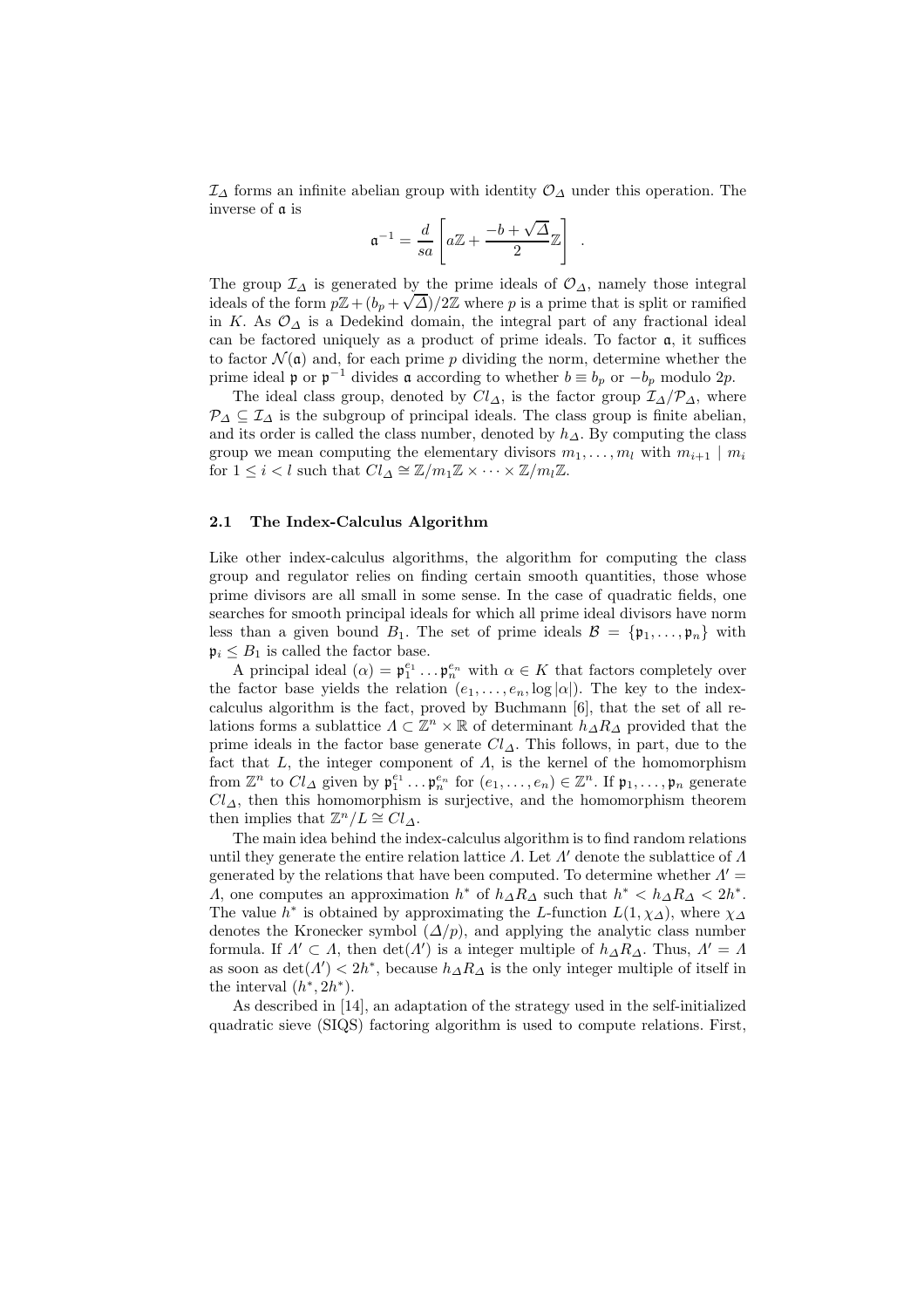$\mathcal{I}_{\Delta}$  forms an infinite abelian group with identity  $\mathcal{O}_{\Delta}$  under this operation. The inverse of a is

$$
\mathfrak{a}^{-1} = \frac{d}{sa}\left[a\mathbb{Z} + \frac{-b+\sqrt{\Delta}}{2}\mathbb{Z}\right] \ .
$$

The group  $\mathcal{I}_{\Delta}$  is generated by the prime ideals of  $\mathcal{O}_{\Delta}$ , namely those integral ideals of the form  $p\mathbb{Z}+(b_p+\sqrt{\Delta})/2\mathbb{Z}$  where p is a prime that is split or ramified in K. As  $\mathcal{O}_\Lambda$  is a Dedekind domain, the integral part of any fractional ideal can be factored uniquely as a product of prime ideals. To factor a, it suffices to factor  $\mathcal{N}(\mathfrak{a})$  and, for each prime p dividing the norm, determine whether the prime ideal **p** or  $p^{-1}$  divides **a** according to whether  $b \equiv b_p$  or  $-b_p$  modulo 2p.

The ideal class group, denoted by  $Cl_{\Delta}$ , is the factor group  $\mathcal{I}_{\Delta}/\mathcal{P}_{\Delta}$ , where  $\mathcal{P}_{\Delta} \subseteq \mathcal{I}_{\Delta}$  is the subgroup of principal ideals. The class group is finite abelian, and its order is called the class number, denoted by  $h_{\Delta}$ . By computing the class group we mean computing the elementary divisors  $m_1, \ldots, m_l$  with  $m_{i+1} \mid m_i$ for  $1 \leq i < l$  such that  $Cl_{\Delta} \cong \mathbb{Z}/m_1\mathbb{Z} \times \cdots \times \mathbb{Z}/m_l\mathbb{Z}$ .

#### 2.1 The Index-Calculus Algorithm

Like other index-calculus algorithms, the algorithm for computing the class group and regulator relies on finding certain smooth quantities, those whose prime divisors are all small in some sense. In the case of quadratic fields, one searches for smooth principal ideals for which all prime ideal divisors have norm less than a given bound  $B_1$ . The set of prime ideals  $\mathcal{B} = {\mathfrak{p}_1, \ldots, \mathfrak{p}_n}$  with  $\mathfrak{p}_i \leq B_1$  is called the factor base.

A principal ideal  $(\alpha) = \mathfrak{p}_1^{e_1} \dots \mathfrak{p}_n^{e_n}$  with  $\alpha \in K$  that factors completely over the factor base yields the relation  $(e_1, \ldots, e_n, \log |\alpha|)$ . The key to the indexcalculus algorithm is the fact, proved by Buchmann [6], that the set of all relations forms a sublattice  $\Lambda \subset \mathbb{Z}^n \times \mathbb{R}$  of determinant  $h_{\Delta}R_{\Delta}$  provided that the prime ideals in the factor base generate  $Cl_{\Delta}$ . This follows, in part, due to the fact that  $L$ , the integer component of  $\Lambda$ , is the kernel of the homomorphism from  $\mathbb{Z}^n$  to  $Cl_{\Delta}$  given by  $\mathfrak{p}_1^{e_1} \ldots \mathfrak{p}_n^{e_n}$  for  $(e_1, \ldots, e_n) \in \mathbb{Z}^n$ . If  $\mathfrak{p}_1, \ldots, \mathfrak{p}_n$  generate  $Cl_{\Delta}$ , then this homomorphism is surjective, and the homomorphism theorem then implies that  $\mathbb{Z}^n/L \cong Cl_{\Delta}$ .

The main idea behind the index-calculus algorithm is to find random relations until they generate the entire relation lattice  $\Lambda$ . Let  $\Lambda'$  denote the sublattice of  $\Lambda$ generated by the relations that have been computed. To determine whether  $\Lambda'$  = A, one computes an approximation  $h^*$  of  $h_{\Delta}R_{\Delta}$  such that  $h^* < h_{\Delta}R_{\Delta} < 2h^*$ . The value  $h^*$  is obtained by approximating the L-function  $L(1, \chi_{\Delta})$ , where  $\chi_{\Delta}$ denotes the Kronecker symbol  $(\Delta/p)$ , and applying the analytic class number formula. If  $\Lambda' \subset \Lambda$ , then  $\det(\Lambda')$  is a integer multiple of  $h_{\Delta} R_{\Delta}$ . Thus,  $\Lambda' = \Lambda$ as soon as  $\det(\Lambda') < 2h^*$ , because  $h_{\Delta} R_{\Delta}$  is the only integer multiple of itself in the interval  $(h^*, 2h^*)$ .

As described in [14], an adaptation of the strategy used in the self-initialized quadratic sieve (SIQS) factoring algorithm is used to compute relations. First,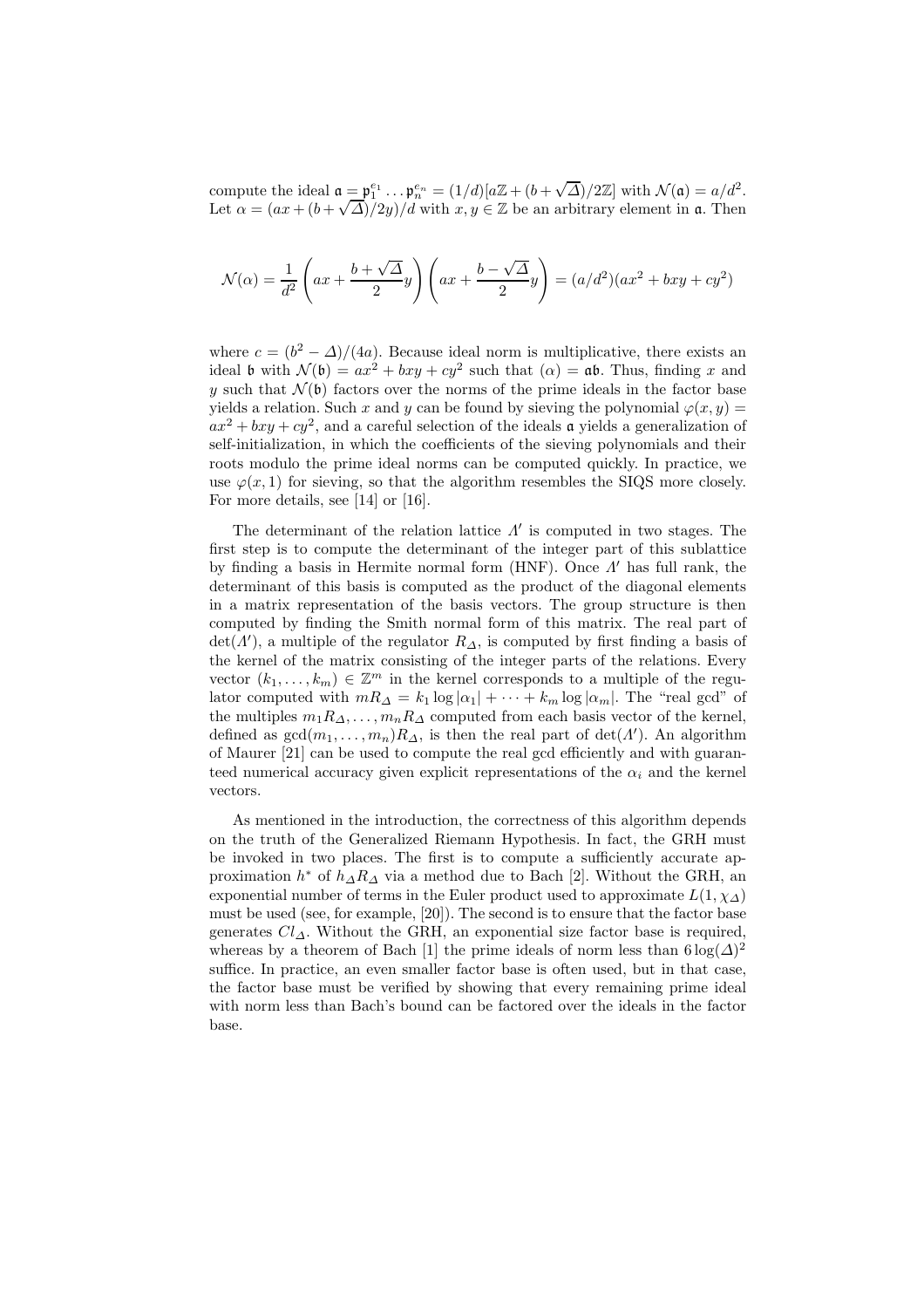compute the ideal  $\mathfrak{a} = \mathfrak{p}_1^{e_1} \dots \mathfrak{p}_n^{e_n} = (1/d)[a\mathbb{Z} + (b + \sqrt{\Delta})/2\mathbb{Z}]$  with  $\mathcal{N}(\mathfrak{a}) = a/d^2$ . Let  $\alpha = (ax + (b + \sqrt{\Delta})/2y)/d$  with  $x, y \in \mathbb{Z}$  be an arbitrary element in **a**. Then

$$
\mathcal{N}(\alpha) = \frac{1}{d^2} \left( ax + \frac{b + \sqrt{\Delta}}{2} y \right) \left( ax + \frac{b - \sqrt{\Delta}}{2} y \right) = (a/d^2)(ax^2 + bxy + cy^2)
$$

where  $c = (b^2 - \Delta)/(4a)$ . Because ideal norm is multiplicative, there exists an ideal b with  $\mathcal{N}(\mathfrak{b}) = ax^2 + bxy + cy^2$  such that  $(\alpha) = \mathfrak{ab}$ . Thus, finding x and y such that  $\mathcal{N}(b)$  factors over the norms of the prime ideals in the factor base yields a relation. Such x and y can be found by sieving the polynomial  $\varphi(x, y) =$  $ax^2 + bxy + cy^2$ , and a careful selection of the ideals **a** yields a generalization of self-initialization, in which the coefficients of the sieving polynomials and their roots modulo the prime ideal norms can be computed quickly. In practice, we use  $\varphi(x, 1)$  for sieving, so that the algorithm resembles the SIQS more closely. For more details, see [14] or [16].

The determinant of the relation lattice  $\Lambda'$  is computed in two stages. The first step is to compute the determinant of the integer part of this sublattice by finding a basis in Hermite normal form (HNF). Once Λ ′ has full rank, the determinant of this basis is computed as the product of the diagonal elements in a matrix representation of the basis vectors. The group structure is then computed by finding the Smith normal form of this matrix. The real part of  $\det(\Lambda')$ , a multiple of the regulator  $R_{\Delta}$ , is computed by first finding a basis of the kernel of the matrix consisting of the integer parts of the relations. Every vector  $(k_1, \ldots, k_m) \in \mathbb{Z}^m$  in the kernel corresponds to a multiple of the regulator computed with  $mR_{\Delta} = k_1 \log |\alpha_1| + \cdots + k_m \log |\alpha_m|$ . The "real gcd" of the multiples  $m_1R_{\Delta}, \ldots, m_nR_{\Delta}$  computed from each basis vector of the kernel, defined as  $gcd(m_1, \ldots, m_n) R_{\Delta}$ , is then the real part of  $det(\Lambda')$ . An algorithm of Maurer [21] can be used to compute the real gcd efficiently and with guaranteed numerical accuracy given explicit representations of the  $\alpha_i$  and the kernel vectors.

As mentioned in the introduction, the correctness of this algorithm depends on the truth of the Generalized Riemann Hypothesis. In fact, the GRH must be invoked in two places. The first is to compute a sufficiently accurate approximation  $h^*$  of  $h_{\Delta} R_{\Delta}$  via a method due to Bach [2]. Without the GRH, an exponential number of terms in the Euler product used to approximate  $L(1, \chi_{\Delta})$ must be used (see, for example, [20]). The second is to ensure that the factor base generates  $Cl_A$ . Without the GRH, an exponential size factor base is required, whereas by a theorem of Bach [1] the prime ideals of norm less than  $6 \log(\Delta)^2$ suffice. In practice, an even smaller factor base is often used, but in that case, the factor base must be verified by showing that every remaining prime ideal with norm less than Bach's bound can be factored over the ideals in the factor base.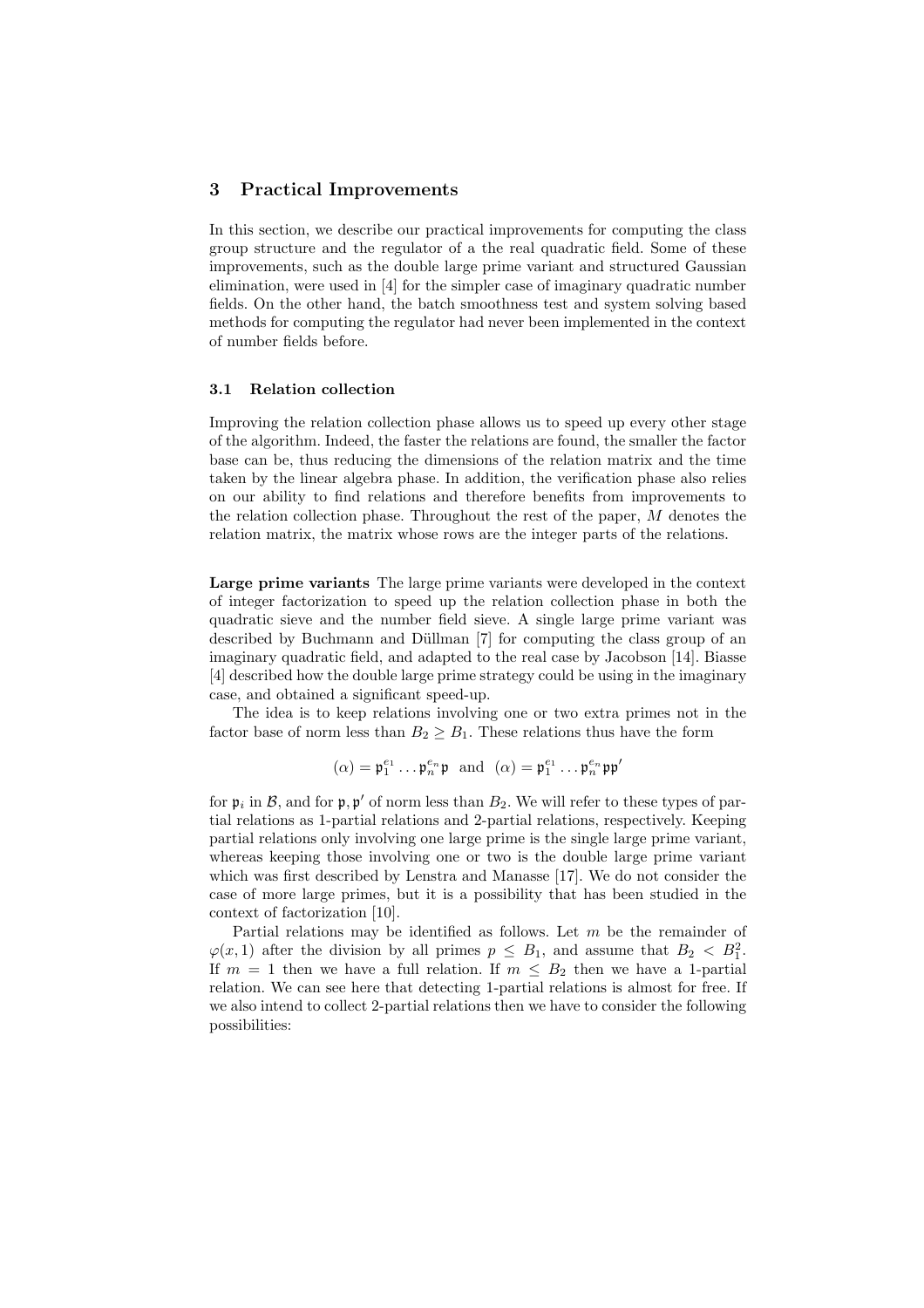#### 3 Practical Improvements

In this section, we describe our practical improvements for computing the class group structure and the regulator of a the real quadratic field. Some of these improvements, such as the double large prime variant and structured Gaussian elimination, were used in [4] for the simpler case of imaginary quadratic number fields. On the other hand, the batch smoothness test and system solving based methods for computing the regulator had never been implemented in the context of number fields before.

#### 3.1 Relation collection

Improving the relation collection phase allows us to speed up every other stage of the algorithm. Indeed, the faster the relations are found, the smaller the factor base can be, thus reducing the dimensions of the relation matrix and the time taken by the linear algebra phase. In addition, the verification phase also relies on our ability to find relations and therefore benefits from improvements to the relation collection phase. Throughout the rest of the paper, M denotes the relation matrix, the matrix whose rows are the integer parts of the relations.

Large prime variants The large prime variants were developed in the context of integer factorization to speed up the relation collection phase in both the quadratic sieve and the number field sieve. A single large prime variant was described by Buchmann and Düllman [7] for computing the class group of an imaginary quadratic field, and adapted to the real case by Jacobson [14]. Biasse [4] described how the double large prime strategy could be using in the imaginary case, and obtained a significant speed-up.

The idea is to keep relations involving one or two extra primes not in the factor base of norm less than  $B_2 \geq B_1$ . These relations thus have the form

$$
(\alpha) = \mathfrak{p}_1^{e_1} \dots \mathfrak{p}_n^{e_n} \mathfrak{p} \text{ and } (\alpha) = \mathfrak{p}_1^{e_1} \dots \mathfrak{p}_n^{e_n} \mathfrak{p}\mathfrak{p}'
$$

for  $\mathfrak{p}_i$  in  $\mathcal{B}$ , and for  $\mathfrak{p}, \mathfrak{p}'$  of norm less than  $B_2$ . We will refer to these types of partial relations as 1-partial relations and 2-partial relations, respectively. Keeping partial relations only involving one large prime is the single large prime variant, whereas keeping those involving one or two is the double large prime variant which was first described by Lenstra and Manasse [17]. We do not consider the case of more large primes, but it is a possibility that has been studied in the context of factorization [10].

Partial relations may be identified as follows. Let m be the remainder of  $\varphi(x,1)$  after the division by all primes  $p \leq B_1$ , and assume that  $B_2 < B_1^2$ . If  $m = 1$  then we have a full relation. If  $m \leq B_2$  then we have a 1-partial relation. We can see here that detecting 1-partial relations is almost for free. If we also intend to collect 2-partial relations then we have to consider the following possibilities: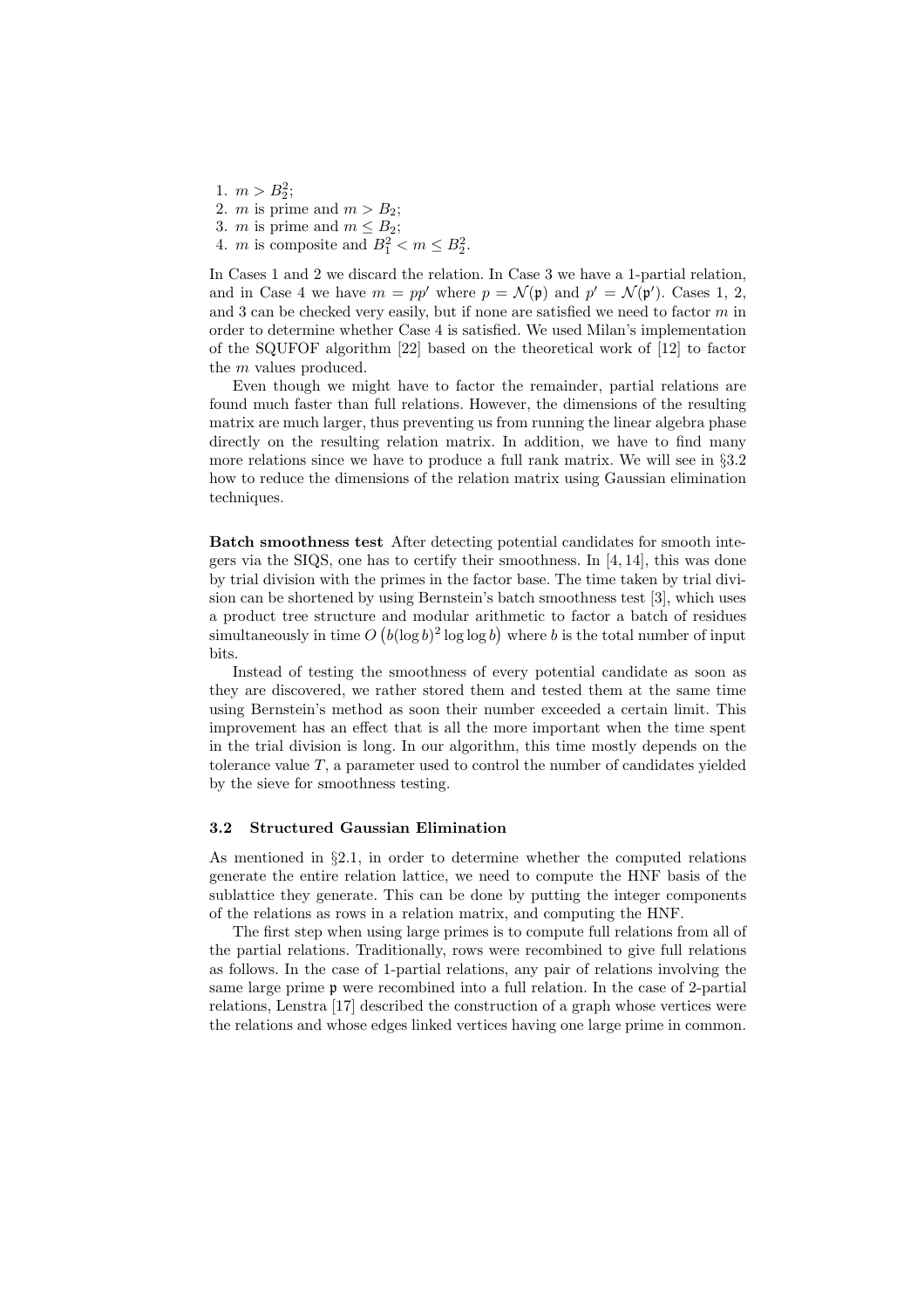1.  $m > B_2^2$ ; 2. *m* is prime and  $m > B_2$ ; 3. *m* is prime and  $m \leq B_2$ ; 4. *m* is composite and  $B_1^2 < m \le B_2^2$ .

In Cases 1 and 2 we discard the relation. In Case 3 we have a 1-partial relation, and in Case 4 we have  $m = pp'$  where  $p = \mathcal{N}(\mathfrak{p})$  and  $p' = \mathcal{N}(\mathfrak{p}')$ . Cases 1, 2, and 3 can be checked very easily, but if none are satisfied we need to factor  $m$  in order to determine whether Case 4 is satisfied. We used Milan's implementation of the SQUFOF algorithm [22] based on the theoretical work of [12] to factor the m values produced.

Even though we might have to factor the remainder, partial relations are found much faster than full relations. However, the dimensions of the resulting matrix are much larger, thus preventing us from running the linear algebra phase directly on the resulting relation matrix. In addition, we have to find many more relations since we have to produce a full rank matrix. We will see in §3.2 how to reduce the dimensions of the relation matrix using Gaussian elimination techniques.

Batch smoothness test After detecting potential candidates for smooth integers via the SIQS, one has to certify their smoothness. In [4, 14], this was done by trial division with the primes in the factor base. The time taken by trial division can be shortened by using Bernstein's batch smoothness test [3], which uses a product tree structure and modular arithmetic to factor a batch of residues simultaneously in time  $O((\log b)^2 \log \log b)$  where b is the total number of input bits.

Instead of testing the smoothness of every potential candidate as soon as they are discovered, we rather stored them and tested them at the same time using Bernstein's method as soon their number exceeded a certain limit. This improvement has an effect that is all the more important when the time spent in the trial division is long. In our algorithm, this time mostly depends on the tolerance value  $T$ , a parameter used to control the number of candidates yielded by the sieve for smoothness testing.

#### 3.2 Structured Gaussian Elimination

As mentioned in §2.1, in order to determine whether the computed relations generate the entire relation lattice, we need to compute the HNF basis of the sublattice they generate. This can be done by putting the integer components of the relations as rows in a relation matrix, and computing the HNF.

The first step when using large primes is to compute full relations from all of the partial relations. Traditionally, rows were recombined to give full relations as follows. In the case of 1-partial relations, any pair of relations involving the same large prime p were recombined into a full relation. In the case of 2-partial relations, Lenstra [17] described the construction of a graph whose vertices were the relations and whose edges linked vertices having one large prime in common.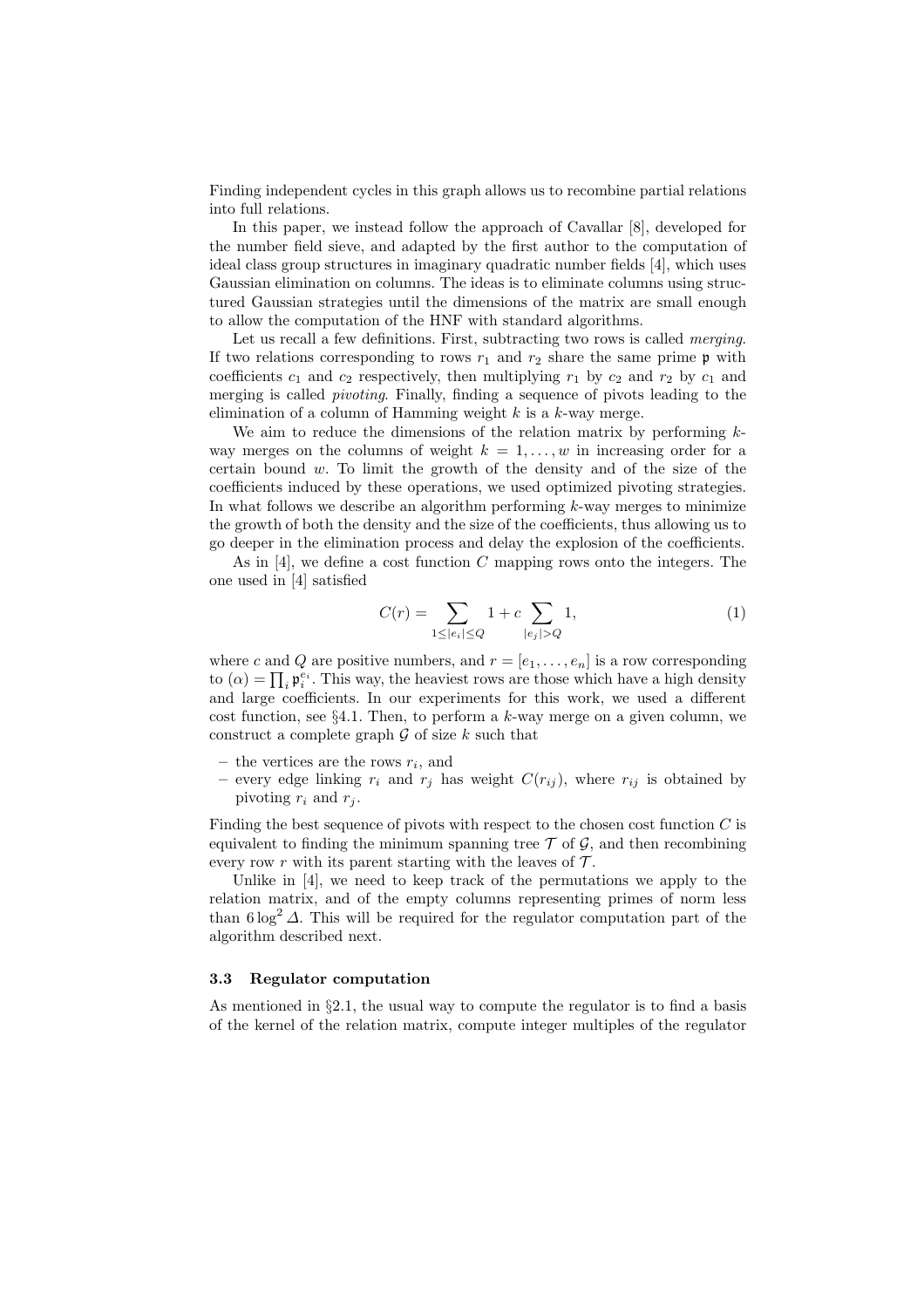Finding independent cycles in this graph allows us to recombine partial relations into full relations.

In this paper, we instead follow the approach of Cavallar [8], developed for the number field sieve, and adapted by the first author to the computation of ideal class group structures in imaginary quadratic number fields [4], which uses Gaussian elimination on columns. The ideas is to eliminate columns using structured Gaussian strategies until the dimensions of the matrix are small enough to allow the computation of the HNF with standard algorithms.

Let us recall a few definitions. First, subtracting two rows is called *merging*. If two relations corresponding to rows  $r_1$  and  $r_2$  share the same prime  $\mathfrak p$  with coefficients  $c_1$  and  $c_2$  respectively, then multiplying  $r_1$  by  $c_2$  and  $r_2$  by  $c_1$  and merging is called pivoting. Finally, finding a sequence of pivots leading to the elimination of a column of Hamming weight  $k$  is a  $k$ -way merge.

We aim to reduce the dimensions of the relation matrix by performing  $k$ way merges on the columns of weight  $k = 1, \ldots, w$  in increasing order for a certain bound  $w$ . To limit the growth of the density and of the size of the coefficients induced by these operations, we used optimized pivoting strategies. In what follows we describe an algorithm performing  $k$ -way merges to minimize the growth of both the density and the size of the coefficients, thus allowing us to go deeper in the elimination process and delay the explosion of the coefficients.

As in  $[4]$ , we define a cost function C mapping rows onto the integers. The one used in [4] satisfied

$$
C(r) = \sum_{1 \le |e_i| \le Q} 1 + c \sum_{|e_j| > Q} 1, \tag{1}
$$

where c and Q are positive numbers, and  $r = [e_1, \ldots, e_n]$  is a row corresponding to  $(\alpha) = \prod_i \mathfrak{p}_i^{e_i}$ . This way, the heaviest rows are those which have a high density and large coefficients. In our experiments for this work, we used a different cost function, see  $\S 4.1$ . Then, to perform a k-way merge on a given column, we construct a complete graph  $\mathcal G$  of size k such that

- the vertices are the rows  $r_i$ , and
- every edge linking  $r_i$  and  $r_j$  has weight  $C(r_{ij})$ , where  $r_{ij}$  is obtained by pivoting  $r_i$  and  $r_j$ .

Finding the best sequence of pivots with respect to the chosen cost function  $C$  is equivalent to finding the minimum spanning tree  $\mathcal T$  of  $\mathcal G$ , and then recombining every row r with its parent starting with the leaves of  $\mathcal{T}$ .

Unlike in [4], we need to keep track of the permutations we apply to the relation matrix, and of the empty columns representing primes of norm less than  $6 \log^2 \Delta$ . This will be required for the regulator computation part of the algorithm described next.

#### 3.3 Regulator computation

As mentioned in  $\S 2.1$ , the usual way to compute the regulator is to find a basis of the kernel of the relation matrix, compute integer multiples of the regulator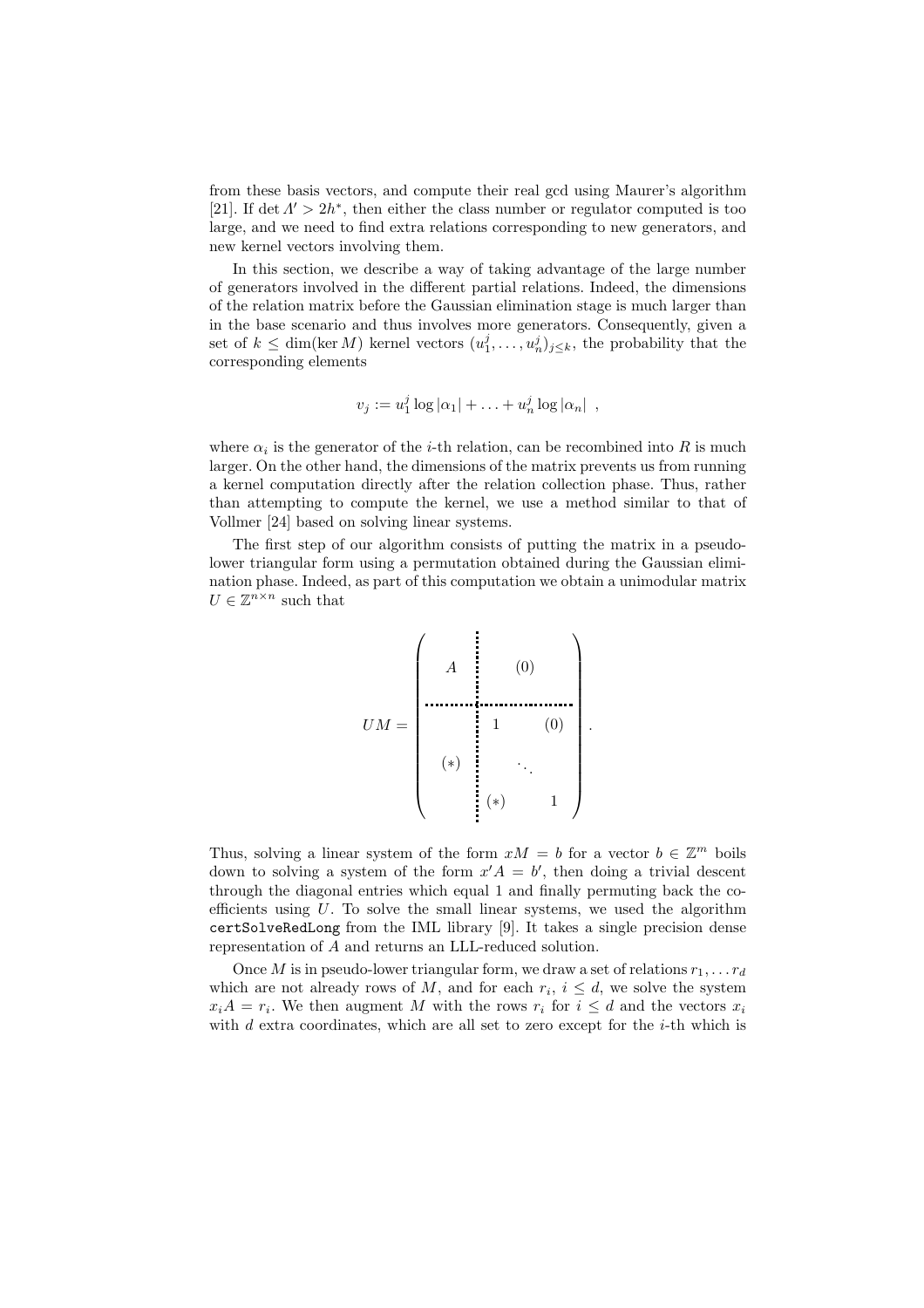from these basis vectors, and compute their real gcd using Maurer's algorithm [21]. If det  $\Lambda' > 2h^*$ , then either the class number or regulator computed is too large, and we need to find extra relations corresponding to new generators, and new kernel vectors involving them.

In this section, we describe a way of taking advantage of the large number of generators involved in the different partial relations. Indeed, the dimensions of the relation matrix before the Gaussian elimination stage is much larger than in the base scenario and thus involves more generators. Consequently, given a set of  $k \leq \dim(\ker M)$  kernel vectors  $(u_1^j, \ldots, u_n^j)_{j \leq k}$ , the probability that the corresponding elements

$$
v_j := u_1^j \log |\alpha_1| + \ldots + u_n^j \log |\alpha_n| ,
$$

where  $\alpha_i$  is the generator of the *i*-th relation, can be recombined into R is much larger. On the other hand, the dimensions of the matrix prevents us from running a kernel computation directly after the relation collection phase. Thus, rather than attempting to compute the kernel, we use a method similar to that of Vollmer [24] based on solving linear systems.

The first step of our algorithm consists of putting the matrix in a pseudolower triangular form using a permutation obtained during the Gaussian elimination phase. Indeed, as part of this computation we obtain a unimodular matrix  $U \in \mathbb{Z}^{n \times n}$  such that

UM = A (0) (∗) 1 (0) . . . (∗) 1 .

Thus, solving a linear system of the form  $xM = b$  for a vector  $b \in \mathbb{Z}^m$  boils down to solving a system of the form  $x'A = b'$ , then doing a trivial descent through the diagonal entries which equal 1 and finally permuting back the coefficients using  $U$ . To solve the small linear systems, we used the algorithm certSolveRedLong from the IML library [9]. It takes a single precision dense representation of A and returns an LLL-reduced solution.

Once M is in pseudo-lower triangular form, we draw a set of relations  $r_1, \ldots, r_d$ which are not already rows of M, and for each  $r_i$ ,  $i \leq d$ , we solve the system  $x_iA = r_i$ . We then augment M with the rows  $r_i$  for  $i \leq d$  and the vectors  $x_i$ with  $d$  extra coordinates, which are all set to zero except for the  $i$ -th which is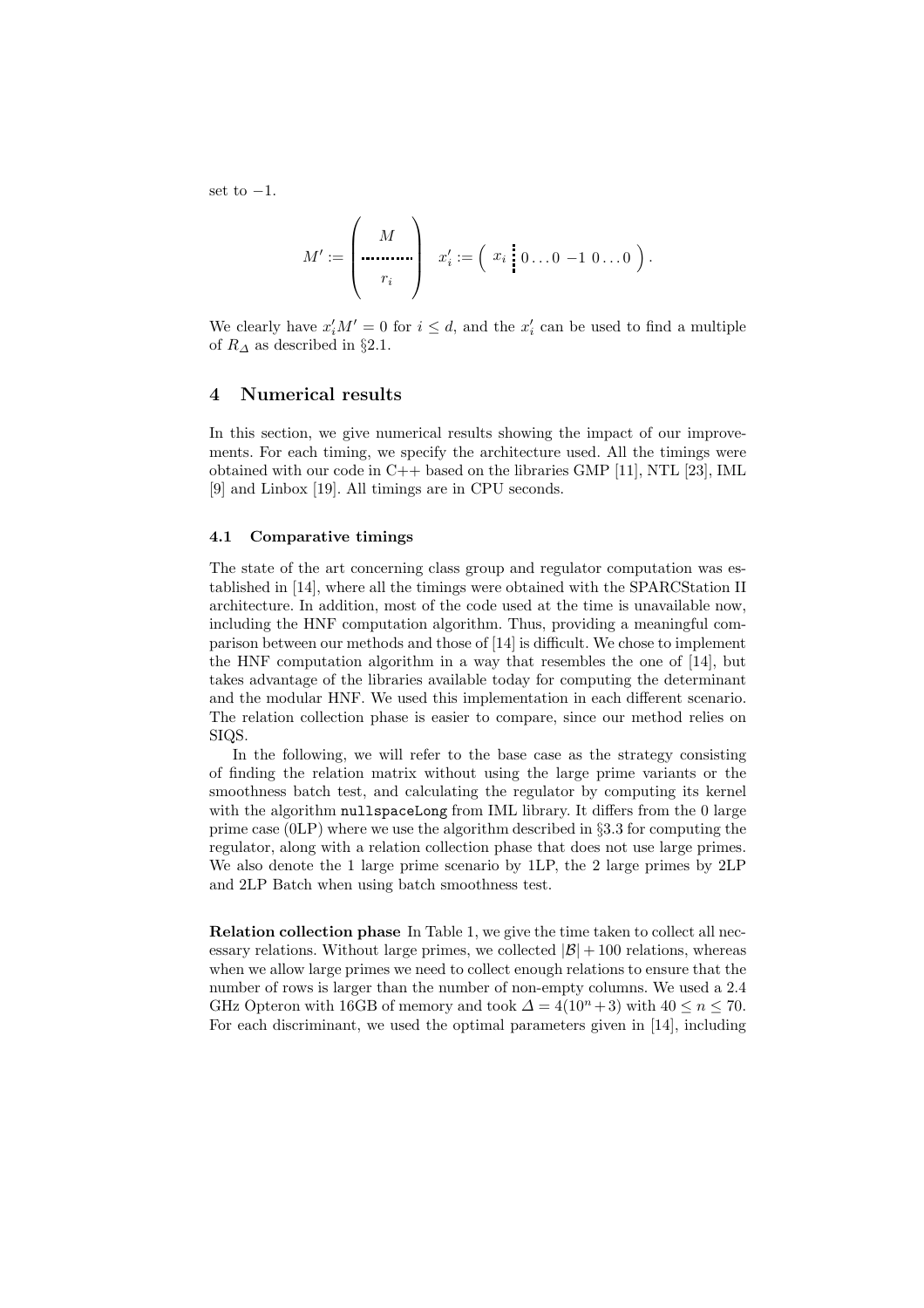set to  $-1$ .

$$
M' := \left(\begin{array}{c} M \\ \cdots \\ r_i \end{array}\right) \quad x'_i := \left(\begin{array}{c} x_i \\ \vdots \\ x_i \end{array}\right) 0 \ldots 0 \ -1 \ 0 \ldots 0 \ \right).
$$

We clearly have  $x'_iM' = 0$  for  $i \leq d$ , and the  $x'_i$  can be used to find a multiple of  $R_{\Delta}$  as described in §2.1.

#### 4 Numerical results

In this section, we give numerical results showing the impact of our improvements. For each timing, we specify the architecture used. All the timings were obtained with our code in C++ based on the libraries GMP [11], NTL [23], IML [9] and Linbox [19]. All timings are in CPU seconds.

#### 4.1 Comparative timings

The state of the art concerning class group and regulator computation was established in [14], where all the timings were obtained with the SPARCStation II architecture. In addition, most of the code used at the time is unavailable now, including the HNF computation algorithm. Thus, providing a meaningful comparison between our methods and those of [14] is difficult. We chose to implement the HNF computation algorithm in a way that resembles the one of [14], but takes advantage of the libraries available today for computing the determinant and the modular HNF. We used this implementation in each different scenario. The relation collection phase is easier to compare, since our method relies on SIQS.

In the following, we will refer to the base case as the strategy consisting of finding the relation matrix without using the large prime variants or the smoothness batch test, and calculating the regulator by computing its kernel with the algorithm nullspaceLong from IML library. It differs from the 0 large prime case  $(0LP)$  where we use the algorithm described in §3.3 for computing the regulator, along with a relation collection phase that does not use large primes. We also denote the 1 large prime scenario by 1LP, the 2 large primes by 2LP and 2LP Batch when using batch smoothness test.

Relation collection phase In Table 1, we give the time taken to collect all necessary relations. Without large primes, we collected  $|\mathcal{B}| + 100$  relations, whereas when we allow large primes we need to collect enough relations to ensure that the number of rows is larger than the number of non-empty columns. We used a 2.4 GHz Opteron with 16GB of memory and took  $\Delta = 4(10^n + 3)$  with  $40 \leq n \leq 70$ . For each discriminant, we used the optimal parameters given in [14], including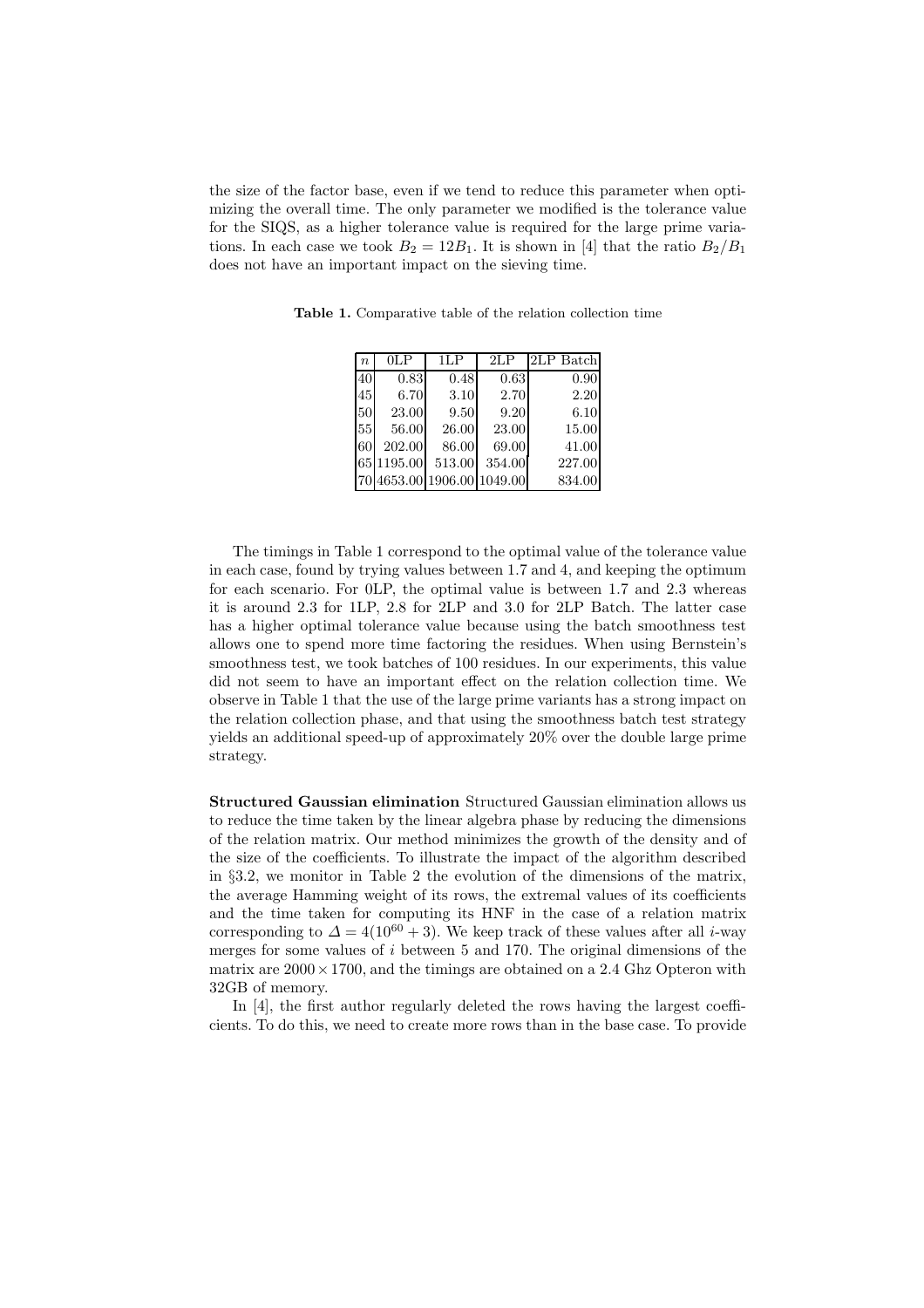the size of the factor base, even if we tend to reduce this parameter when optimizing the overall time. The only parameter we modified is the tolerance value for the SIQS, as a higher tolerance value is required for the large prime variations. In each case we took  $B_2 = 12B_1$ . It is shown in [4] that the ratio  $B_2/B_1$ does not have an important impact on the sieving time.

Table 1. Comparative table of the relation collection time

| $\boldsymbol{n}$ | 0LP        | 1LP    | 2LP                        | 2LP Batch |
|------------------|------------|--------|----------------------------|-----------|
| 40               | 0.83       | 0.48   | 0.63                       | 0.90      |
| 45               | 6.70       | 3.10   | 2.70                       | 2.20      |
| 50               | 23.00      | 9.50   | 9.20                       | 6.10      |
| 55               | 56.00      | 26.00  | 23.00                      | 15.00     |
| 60               | 202.00     | 86.00  | 69.00                      | 41.00     |
|                  | 65 1195.00 | 513.00 | 354.00                     | 227.00    |
|                  |            |        | 70 4653.00 1906.00 1049.00 | 834.00    |

The timings in Table 1 correspond to the optimal value of the tolerance value in each case, found by trying values between 1.7 and 4, and keeping the optimum for each scenario. For 0LP, the optimal value is between 1.7 and 2.3 whereas it is around 2.3 for 1LP, 2.8 for 2LP and 3.0 for 2LP Batch. The latter case has a higher optimal tolerance value because using the batch smoothness test allows one to spend more time factoring the residues. When using Bernstein's smoothness test, we took batches of 100 residues. In our experiments, this value did not seem to have an important effect on the relation collection time. We observe in Table 1 that the use of the large prime variants has a strong impact on the relation collection phase, and that using the smoothness batch test strategy yields an additional speed-up of approximately 20% over the double large prime strategy.

Structured Gaussian elimination Structured Gaussian elimination allows us to reduce the time taken by the linear algebra phase by reducing the dimensions of the relation matrix. Our method minimizes the growth of the density and of the size of the coefficients. To illustrate the impact of the algorithm described in §3.2, we monitor in Table 2 the evolution of the dimensions of the matrix, the average Hamming weight of its rows, the extremal values of its coefficients and the time taken for computing its HNF in the case of a relation matrix corresponding to  $\Delta = 4(10^{60} + 3)$ . We keep track of these values after all *i*-way merges for some values of  $i$  between 5 and 170. The original dimensions of the matrix are  $2000 \times 1700$ , and the timings are obtained on a 2.4 Ghz Opteron with 32GB of memory.

In [4], the first author regularly deleted the rows having the largest coefficients. To do this, we need to create more rows than in the base case. To provide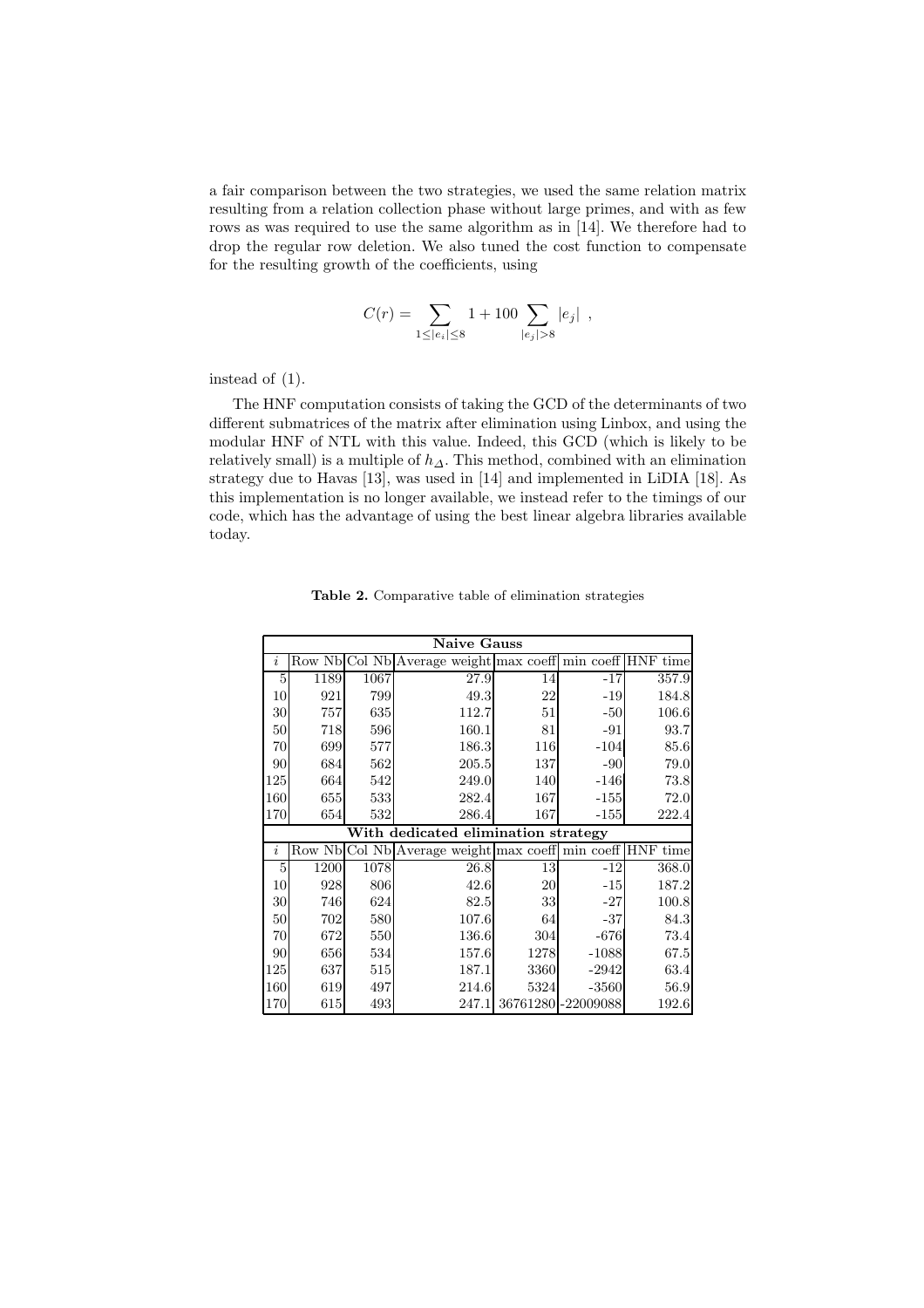a fair comparison between the two strategies, we used the same relation matrix resulting from a relation collection phase without large primes, and with as few rows as was required to use the same algorithm as in [14]. We therefore had to drop the regular row deletion. We also tuned the cost function to compensate for the resulting growth of the coefficients, using

$$
C(r) = \sum_{1 \leq |e_i| \leq 8} 1 + 100 \sum_{|e_j| > 8} |e_j| ,
$$

instead of (1).

The HNF computation consists of taking the GCD of the determinants of two different submatrices of the matrix after elimination using Linbox, and using the modular HNF of NTL with this value. Indeed, this GCD (which is likely to be relatively small) is a multiple of  $h_{\Delta}$ . This method, combined with an elimination strategy due to Havas [13], was used in [14] and implemented in LiDIA [18]. As this implementation is no longer available, we instead refer to the timings of our code, which has the advantage of using the best linear algebra libraries available today.

|     | <b>Naive Gauss</b>                  |      |                                                           |                     |         |       |  |
|-----|-------------------------------------|------|-----------------------------------------------------------|---------------------|---------|-------|--|
| i   |                                     |      | Row Nb Col Nb Average weight max coeff min coeff HNF time |                     |         |       |  |
| 5   | 1189                                | 1067 | 27.9                                                      | 14                  | $-17$   | 357.9 |  |
| 10  | 921                                 | 799  | 49.3                                                      | 22                  | $-19$   | 184.8 |  |
| 30  | 757                                 | 635  | 112.7                                                     | 51                  | $-50$   | 106.6 |  |
| 50  | 718                                 | 596  | 160.1                                                     | 81                  | $-91$   | 93.7  |  |
| 70  | 699                                 | 577  | 186.3                                                     | 116                 | $-104$  | 85.6  |  |
| 90  | 684                                 | 562  | 205.5                                                     | 137                 | $-90$   | 79.0  |  |
| 125 | 664                                 | 542  | 249.0                                                     | 140                 | $-146$  | 73.8  |  |
| 160 | 655                                 | 533  | 282.4                                                     | 167                 | $-155$  | 72.0  |  |
| 170 | 654                                 | 532  | 286.4                                                     | 167                 | $-155$  | 222.4 |  |
|     | With dedicated elimination strategy |      |                                                           |                     |         |       |  |
| i   | Row Nb                              |      | Col Nb Average weight max coeff min coeff HNF time        |                     |         |       |  |
| 5   | 1200                                | 1078 | 26.8                                                      | 13                  | -12     | 368.0 |  |
| 10  | 928                                 | 806  | 42.6                                                      | 20                  | $-15$   | 187.2 |  |
| 30  | 746                                 | 624  | 82.5                                                      | 33                  | $-27$   | 100.8 |  |
| 50  | 702                                 | 580  | 107.6                                                     | 64                  | $-37$   | 84.3  |  |
| 70  | 672                                 | 550  | 136.6                                                     | 304                 | $-676$  | 73.4  |  |
| 90  | 656                                 | 534  | 157.6                                                     | 1278                | $-1088$ | 67.5  |  |
| 125 | 637                                 | 515  | 187.1                                                     | 3360                | $-2942$ | 63.4  |  |
| 160 | 619                                 | 497  | 214.6                                                     | 5324                | $-3560$ | 56.9  |  |
| 170 | 615                                 | 493  | 247.1                                                     | 36761280 - 22009088 |         | 192.6 |  |

Table 2. Comparative table of elimination strategies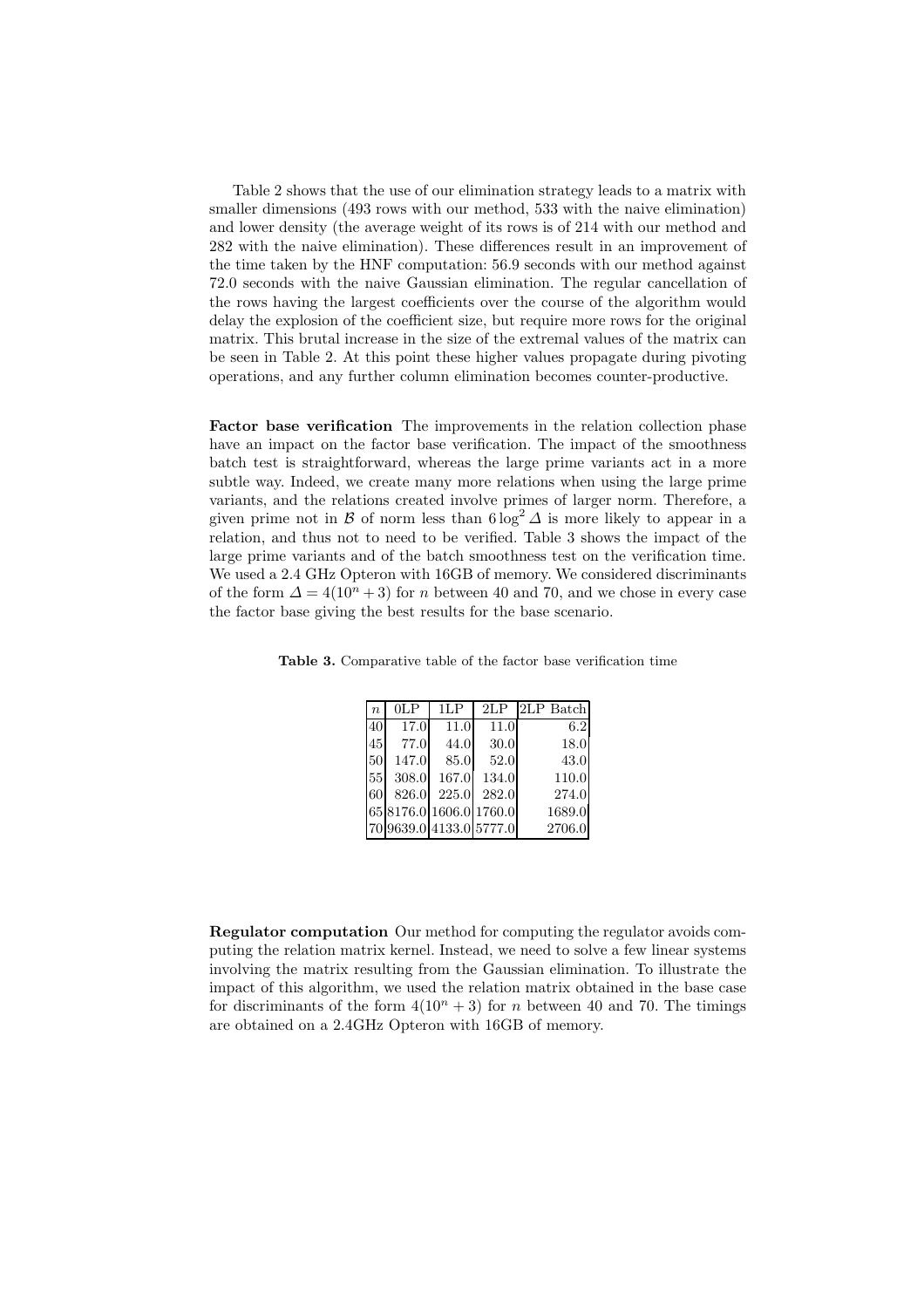Table 2 shows that the use of our elimination strategy leads to a matrix with smaller dimensions (493 rows with our method, 533 with the naive elimination) and lower density (the average weight of its rows is of 214 with our method and 282 with the naive elimination). These differences result in an improvement of the time taken by the HNF computation: 56.9 seconds with our method against 72.0 seconds with the naive Gaussian elimination. The regular cancellation of the rows having the largest coefficients over the course of the algorithm would delay the explosion of the coefficient size, but require more rows for the original matrix. This brutal increase in the size of the extremal values of the matrix can be seen in Table 2. At this point these higher values propagate during pivoting operations, and any further column elimination becomes counter-productive.

Factor base verification The improvements in the relation collection phase have an impact on the factor base verification. The impact of the smoothness batch test is straightforward, whereas the large prime variants act in a more subtle way. Indeed, we create many more relations when using the large prime variants, and the relations created involve primes of larger norm. Therefore, a given prime not in B of norm less than  $6 \log^2 \Delta$  is more likely to appear in a relation, and thus not to need to be verified. Table 3 shows the impact of the large prime variants and of the batch smoothness test on the verification time. We used a 2.4 GHz Opteron with 16GB of memory. We considered discriminants of the form  $\Delta = 4(10^n + 3)$  for n between 40 and 70, and we chose in every case the factor base giving the best results for the base scenario.

| $\overline{n}$ | 0LP                     | 1LP   | 2LP   | 2LP Batch |
|----------------|-------------------------|-------|-------|-----------|
| 40             | 17.0                    | 11.0  | 11.0  | 6.2       |
| 45             | 77.0                    | 44.0  | 30.0  | 18.0      |
| 50             | 147.0                   | 85.0  | 52.0  | 43.0      |
| 55             | 308.0                   | 167.0 | 134.0 | 110.0     |
| 60             | 826.0                   | 225.0 | 282.0 | 274.0     |
|                | 65 8176.0 1606.0 1760.0 |       |       | 1689.0    |
|                | 70 9639.0 4133.0 5777.0 |       |       | 2706.0    |

Table 3. Comparative table of the factor base verification time

Regulator computation Our method for computing the regulator avoids computing the relation matrix kernel. Instead, we need to solve a few linear systems involving the matrix resulting from the Gaussian elimination. To illustrate the impact of this algorithm, we used the relation matrix obtained in the base case for discriminants of the form  $4(10^n + 3)$  for n between 40 and 70. The timings are obtained on a 2.4GHz Opteron with 16GB of memory.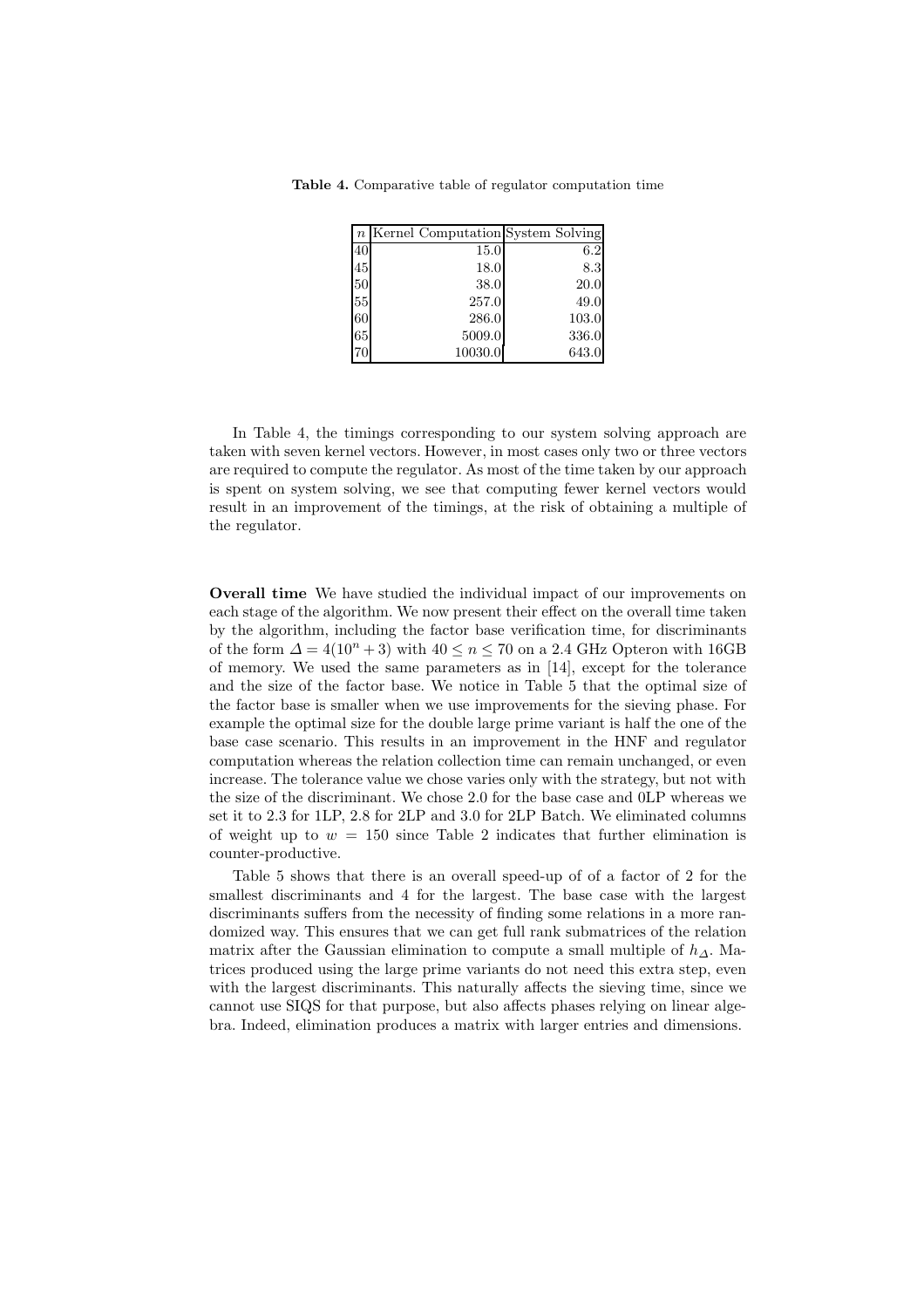Table 4. Comparative table of regulator computation time

|    | $n$ Kernel Computation System Solving |       |
|----|---------------------------------------|-------|
| 40 | 15.0                                  | 6.2   |
| 45 | 18.0                                  | 8.3   |
| 50 | 38.0                                  | 20.0  |
| 55 | 257.0                                 | 49.0  |
| 60 | 286.0                                 | 103.0 |
| 65 | 5009.0                                | 336.0 |
|    | 10030.0                               | 643.0 |
|    |                                       |       |

In Table 4, the timings corresponding to our system solving approach are taken with seven kernel vectors. However, in most cases only two or three vectors are required to compute the regulator. As most of the time taken by our approach is spent on system solving, we see that computing fewer kernel vectors would result in an improvement of the timings, at the risk of obtaining a multiple of the regulator.

Overall time We have studied the individual impact of our improvements on each stage of the algorithm. We now present their effect on the overall time taken by the algorithm, including the factor base verification time, for discriminants of the form  $\Delta = 4(10^n + 3)$  with  $40 \leq n \leq 70$  on a 2.4 GHz Opteron with 16GB of memory. We used the same parameters as in [14], except for the tolerance and the size of the factor base. We notice in Table 5 that the optimal size of the factor base is smaller when we use improvements for the sieving phase. For example the optimal size for the double large prime variant is half the one of the base case scenario. This results in an improvement in the HNF and regulator computation whereas the relation collection time can remain unchanged, or even increase. The tolerance value we chose varies only with the strategy, but not with the size of the discriminant. We chose 2.0 for the base case and 0LP whereas we set it to 2.3 for 1LP, 2.8 for 2LP and 3.0 for 2LP Batch. We eliminated columns of weight up to  $w = 150$  since Table 2 indicates that further elimination is counter-productive.

Table 5 shows that there is an overall speed-up of of a factor of 2 for the smallest discriminants and 4 for the largest. The base case with the largest discriminants suffers from the necessity of finding some relations in a more randomized way. This ensures that we can get full rank submatrices of the relation matrix after the Gaussian elimination to compute a small multiple of  $h_{\Delta}$ . Matrices produced using the large prime variants do not need this extra step, even with the largest discriminants. This naturally affects the sieving time, since we cannot use SIQS for that purpose, but also affects phases relying on linear algebra. Indeed, elimination produces a matrix with larger entries and dimensions.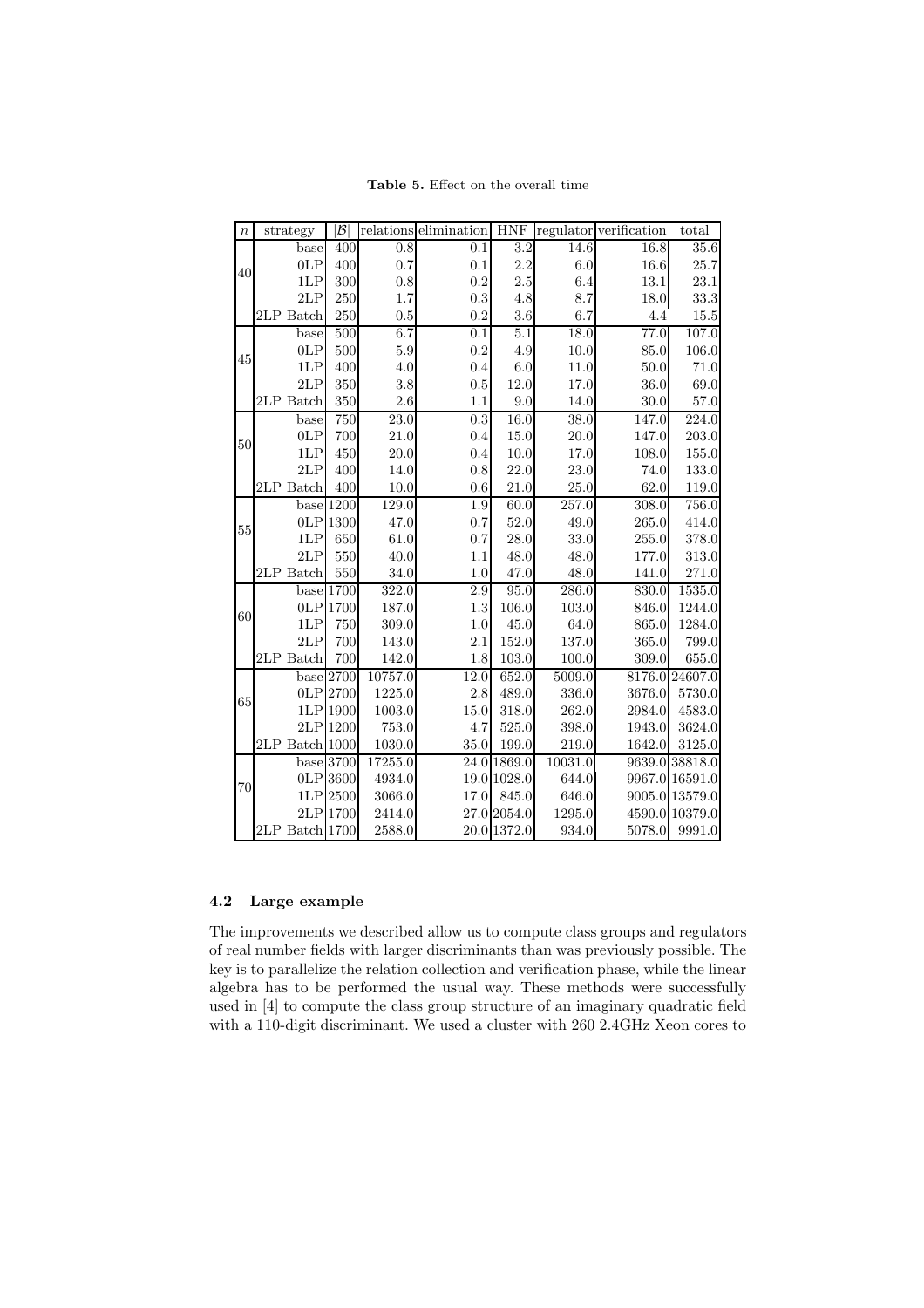strategy  $|\mathcal{B}|$  relations elimination HNF regulator verification total 40 base 400 0.8 0.1 3.2 14.6 16.8 35.6 0LP 400 0.7 0.1 2.2 6.0 16.6 25.7 1LP 300 0.8 0.2 2.5 6.4 13.1 23.1 2LP 250 1.7 0.3 4.8 8.7 18.0 33.3 2LP Batch 250 0.5 0.2 3.6 6.7 4.4 15.5 45 base 500 6.7 0.1 5.1 18.0 77.0 107.0 0LP 500 5.9 0.2 4.9 10.0 85.0 106.0 1LP 400 4.0 0.4 6.0 11.0 50.0 71.0 2LP 350 3.8 0.5 12.0 17.0 36.0 69.0 2LP Batch  $350$   $2.6$   $1.1$   $9.0$   $14.0$   $30.0$   $57.0$ 50 base 750 23.0 0.3 16.0 38.0 147.0 224.0 0LP 700 21.0 0.4 15.0 20.0 147.0 203.0 1LP 450 20.0 0.4 10.0 17.0 108.0 155.0 2LP 400 14.0 0.8 22.0 23.0 74.0 133.0 2LP Batch 400 10.0 0.6 21.0 25.0 62.0 119.0 55 base | 1200 | 129.0 | 1.9 | 1.9 | 1.9 | 1.9 | 257.0 | 308.0 | 756.0 0LP 1300 47.0 0.7 52.0 49.0 265.0 414.0 1LP 650 61.0 0.7 28.0 33.0 255.0 378.0 2LP 550 40.0 1.1 48.0 48.0 177.0 313.0 2LP Batch 550 34.0 1.0 47.0 48.0 141.0 271.0<br>base 1700 322.0 2.9 95.0 286.0 830.0 1535.0 60 base 1700 322.0 2.9 95.0 286.0 830.0 1535.0 0LP | 1700 | 187.0 | 1.3 | 106.0 | 103.0 | 846.0 | 1244.0 1LP 750 309.0 1.0 45.0 64.0 865.0 1284.0 2LP 700 143.0 2.1 152.0 137.0 365.0 799.0 2LP Batch 700 142.0 1.8 103.0 100.0 309.0 655.0 65 base 2700 10757.0 12.0 652.0 5009.0 8176.0 24607.0 0LP  $\begin{array}{ccc} 2700 & 1225.0 & 2.8 & 489.0 & 336.0 & 3676.0 & 5730.0 \end{array}$ 1LP 1900 1003.0 15.0 318.0 262.0 2984.0 4583.0 2LP | 1200 | 753.0 | 4.7 | 525.0 | 398.0 | 1943.0 | 3624.0 2LP Batch 1000 1030.0 35.0 199.0 219.0 1642.0 3125.0 70 base 3700 17255.0 24.0 1869.0 10031.0 9639.0 38818.0 0LP 3600 4934.0 19.0 1028.0 644.0 9967.0 16591.0 1LP 2500 3066.0 17.0 845.0 646.0 9005.0 13579.0 2LP 1700 2414.0 27.0 2054.0 1295.0 4590.0 10379.0 2LP Batch 1700 2588.0 20.0 1372.0 934.0 5078.0 9991.0

Table 5. Effect on the overall time

#### 4.2 Large example

The improvements we described allow us to compute class groups and regulators of real number fields with larger discriminants than was previously possible. The key is to parallelize the relation collection and verification phase, while the linear algebra has to be performed the usual way. These methods were successfully used in [4] to compute the class group structure of an imaginary quadratic field with a 110-digit discriminant. We used a cluster with 260 2.4GHz Xeon cores to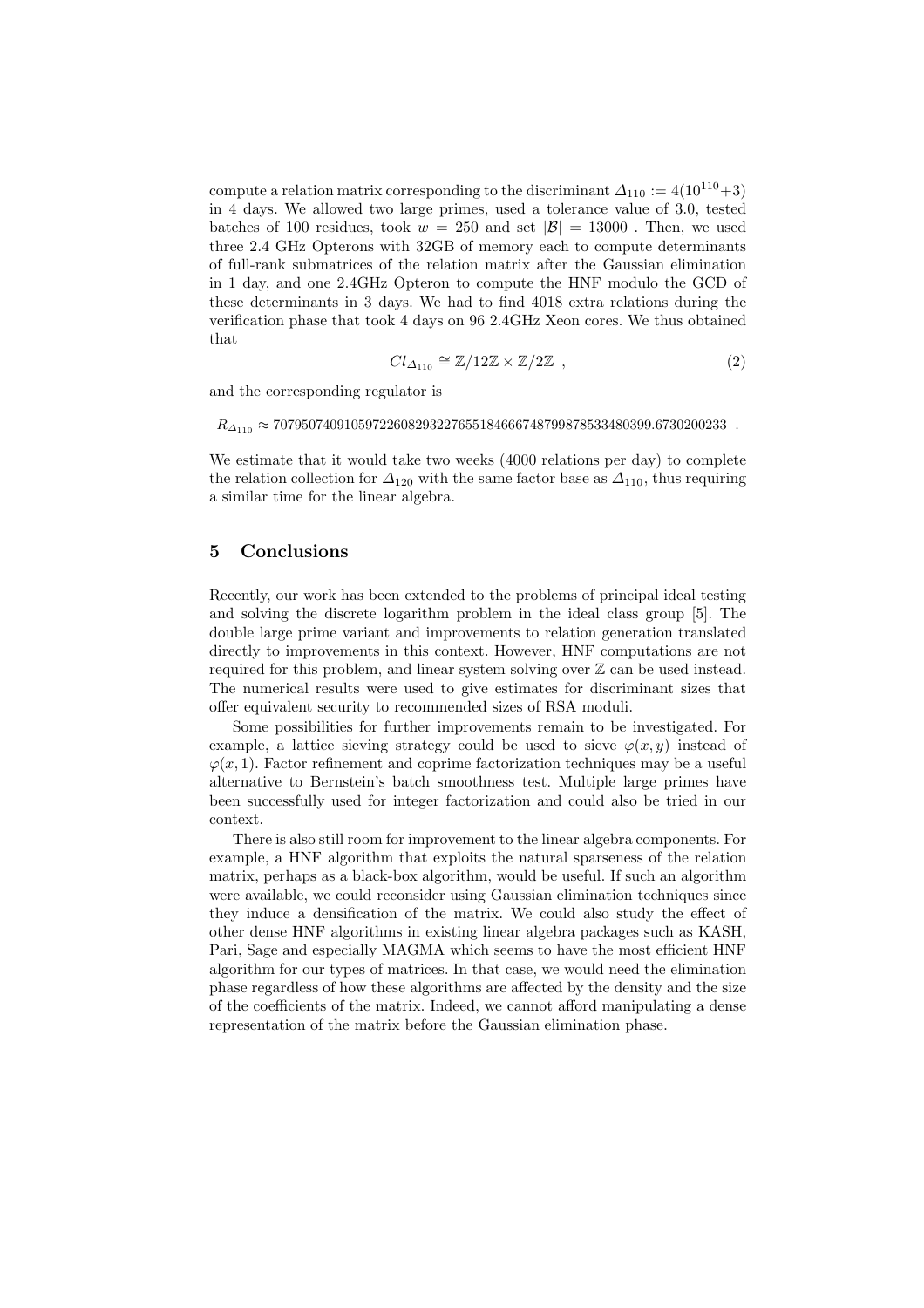compute a relation matrix corresponding to the discriminant  $\Delta_{110} := 4(10^{110}+3)$ in 4 days. We allowed two large primes, used a tolerance value of 3.0, tested batches of 100 residues, took  $w = 250$  and set  $|\mathcal{B}| = 13000$ . Then, we used three 2.4 GHz Opterons with 32GB of memory each to compute determinants of full-rank submatrices of the relation matrix after the Gaussian elimination in 1 day, and one 2.4GHz Opteron to compute the HNF modulo the GCD of these determinants in 3 days. We had to find 4018 extra relations during the verification phase that took 4 days on 96 2.4GHz Xeon cores. We thus obtained that

$$
Cl_{\Delta_{110}} \cong \mathbb{Z}/12\mathbb{Z} \times \mathbb{Z}/2\mathbb{Z} \quad , \tag{2}
$$

and the corresponding regulator is

 $R_{\Delta_{110}} \approx 70795074091059722608293227655184666748799878533480399.6730200233$ .

We estimate that it would take two weeks (4000 relations per day) to complete the relation collection for  $\Delta_{120}$  with the same factor base as  $\Delta_{110}$ , thus requiring a similar time for the linear algebra.

#### 5 Conclusions

Recently, our work has been extended to the problems of principal ideal testing and solving the discrete logarithm problem in the ideal class group [5]. The double large prime variant and improvements to relation generation translated directly to improvements in this context. However, HNF computations are not required for this problem, and linear system solving over  $\mathbb Z$  can be used instead. The numerical results were used to give estimates for discriminant sizes that offer equivalent security to recommended sizes of RSA moduli.

Some possibilities for further improvements remain to be investigated. For example, a lattice sieving strategy could be used to sieve  $\varphi(x, y)$  instead of  $\varphi(x, 1)$ . Factor refinement and coprime factorization techniques may be a useful alternative to Bernstein's batch smoothness test. Multiple large primes have been successfully used for integer factorization and could also be tried in our context.

There is also still room for improvement to the linear algebra components. For example, a HNF algorithm that exploits the natural sparseness of the relation matrix, perhaps as a black-box algorithm, would be useful. If such an algorithm were available, we could reconsider using Gaussian elimination techniques since they induce a densification of the matrix. We could also study the effect of other dense HNF algorithms in existing linear algebra packages such as KASH, Pari, Sage and especially MAGMA which seems to have the most efficient HNF algorithm for our types of matrices. In that case, we would need the elimination phase regardless of how these algorithms are affected by the density and the size of the coefficients of the matrix. Indeed, we cannot afford manipulating a dense representation of the matrix before the Gaussian elimination phase.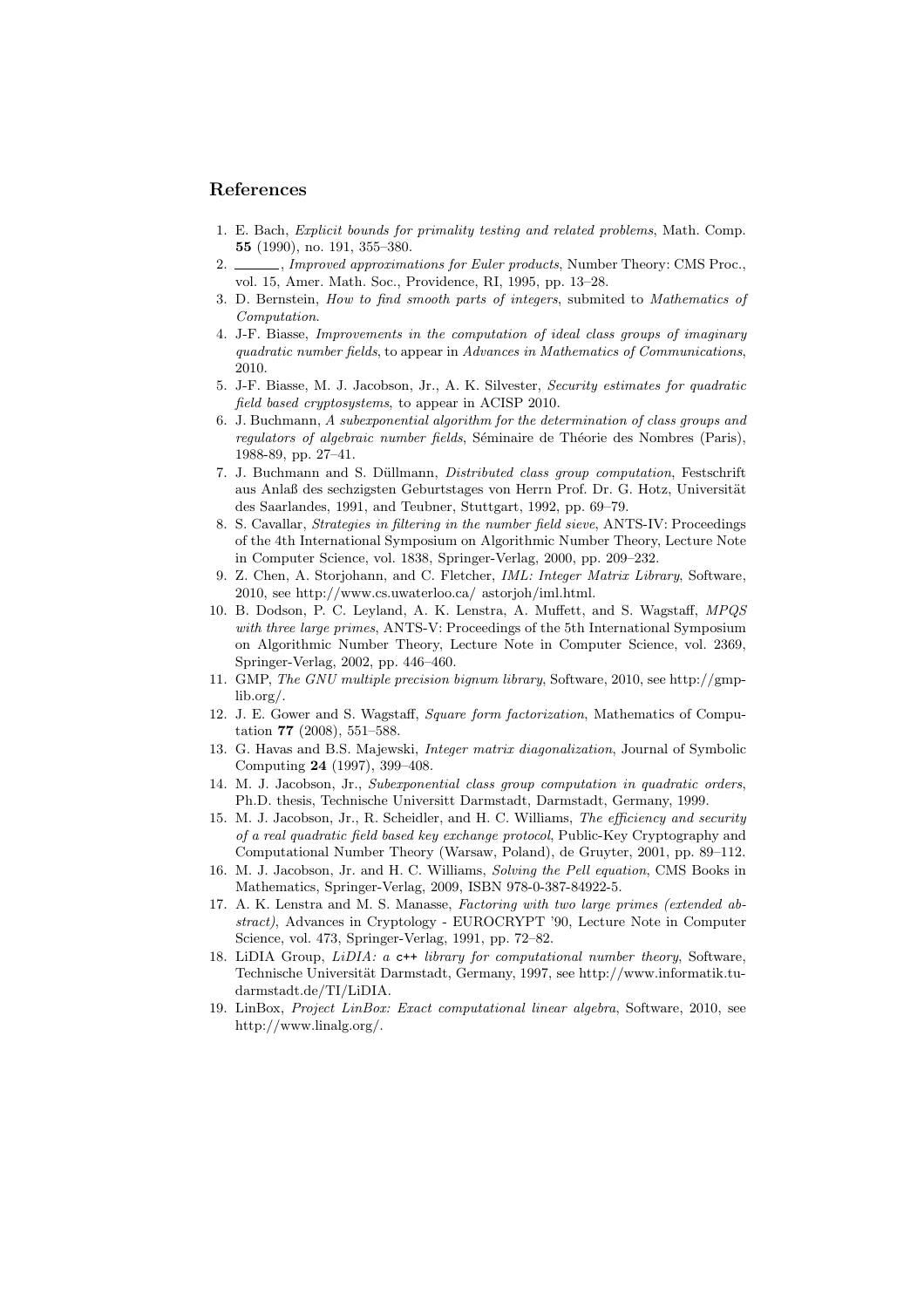#### References

- 1. E. Bach, Explicit bounds for primality testing and related problems, Math. Comp. 55 (1990), no. 191, 355–380.
- 2. , Improved approximations for Euler products, Number Theory: CMS Proc., vol. 15, Amer. Math. Soc., Providence, RI, 1995, pp. 13–28.
- 3. D. Bernstein, How to find smooth parts of integers, submited to Mathematics of Computation.
- 4. J-F. Biasse, Improvements in the computation of ideal class groups of imaginary quadratic number fields, to appear in Advances in Mathematics of Communications, 2010.
- 5. J-F. Biasse, M. J. Jacobson, Jr., A. K. Silvester, Security estimates for quadratic field based cryptosystems, to appear in ACISP 2010.
- 6. J. Buchmann, A subexponential algorithm for the determination of class groups and regulators of algebraic number fields, Séminaire de Théorie des Nombres (Paris), 1988-89, pp. 27–41.
- 7. J. Buchmann and S. Düllmann, *Distributed class group computation*, Festschrift aus Anlaß des sechzigsten Geburtstages von Herrn Prof. Dr. G. Hotz, Universität des Saarlandes, 1991, and Teubner, Stuttgart, 1992, pp. 69–79.
- 8. S. Cavallar, Strategies in filtering in the number field sieve, ANTS-IV: Proceedings of the 4th International Symposium on Algorithmic Number Theory, Lecture Note in Computer Science, vol. 1838, Springer-Verlag, 2000, pp. 209–232.
- 9. Z. Chen, A. Storjohann, and C. Fletcher, IML: Integer Matrix Library, Software, 2010, see http://www.cs.uwaterloo.ca/ astorjoh/iml.html.
- 10. B. Dodson, P. C. Leyland, A. K. Lenstra, A. Muffett, and S. Wagstaff, MPQS with three large primes, ANTS-V: Proceedings of the 5th International Symposium on Algorithmic Number Theory, Lecture Note in Computer Science, vol. 2369, Springer-Verlag, 2002, pp. 446–460.
- 11. GMP, The GNU multiple precision bignum library, Software, 2010, see http://gmplib.org/.
- 12. J. E. Gower and S. Wagstaff, Square form factorization, Mathematics of Computation 77 (2008), 551–588.
- 13. G. Havas and B.S. Majewski, Integer matrix diagonalization, Journal of Symbolic Computing 24 (1997), 399–408.
- 14. M. J. Jacobson, Jr., Subexponential class group computation in quadratic orders, Ph.D. thesis, Technische Universitt Darmstadt, Darmstadt, Germany, 1999.
- 15. M. J. Jacobson, Jr., R. Scheidler, and H. C. Williams, The efficiency and security of a real quadratic field based key exchange protocol, Public-Key Cryptography and Computational Number Theory (Warsaw, Poland), de Gruyter, 2001, pp. 89–112.
- 16. M. J. Jacobson, Jr. and H. C. Williams, Solving the Pell equation, CMS Books in Mathematics, Springer-Verlag, 2009, ISBN 978-0-387-84922-5.
- 17. A. K. Lenstra and M. S. Manasse, Factoring with two large primes (extended abstract), Advances in Cryptology - EUROCRYPT '90, Lecture Note in Computer Science, vol. 473, Springer-Verlag, 1991, pp. 72–82.
- 18. LiDIA Group, LiDIA: a c++ library for computational number theory, Software, Technische Universität Darmstadt, Germany, 1997, see http://www.informatik.tudarmstadt.de/TI/LiDIA.
- 19. LinBox, Project LinBox: Exact computational linear algebra, Software, 2010, see http://www.linalg.org/.